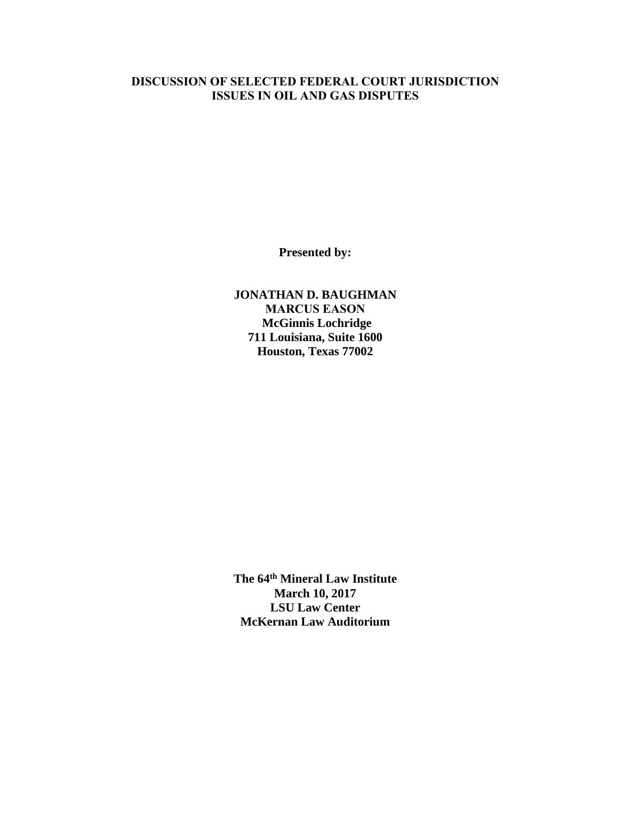# **DISCUSSION OF SELECTED FEDERAL COURT JURISDICTION ISSUES IN OIL AND GAS DISPUTES**

**Presented by:** 

**JONATHAN D. BAUGHMAN MARCUS EASON McGinnis Lochridge 711 Louisiana, Suite 1600 Houston, Texas 77002** 

**The 64th Mineral Law Institute March 10, 2017 LSU Law Center McKernan Law Auditorium**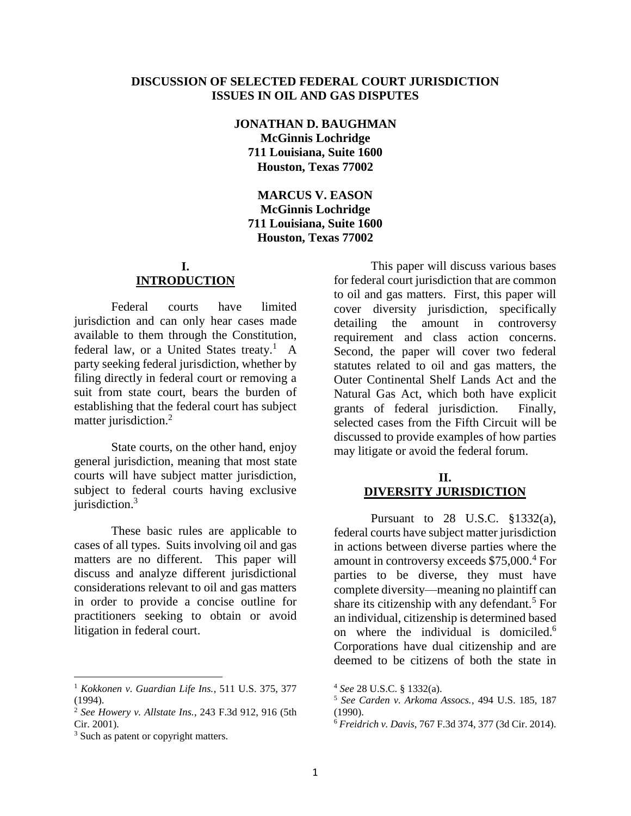### **DISCUSSION OF SELECTED FEDERAL COURT JURISDICTION ISSUES IN OIL AND GAS DISPUTES**

**JONATHAN D. BAUGHMAN McGinnis Lochridge 711 Louisiana, Suite 1600 Houston, Texas 77002**

**MARCUS V. EASON McGinnis Lochridge 711 Louisiana, Suite 1600 Houston, Texas 77002**

## **I. INTRODUCTION**

Federal courts have limited jurisdiction and can only hear cases made available to them through the Constitution, federal law, or a United States treaty.<sup>1</sup> A party seeking federal jurisdiction, whether by filing directly in federal court or removing a suit from state court, bears the burden of establishing that the federal court has subject matter jurisdiction.<sup>2</sup>

State courts, on the other hand, enjoy general jurisdiction, meaning that most state courts will have subject matter jurisdiction, subject to federal courts having exclusive jurisdiction.<sup>3</sup>

These basic rules are applicable to cases of all types. Suits involving oil and gas matters are no different. This paper will discuss and analyze different jurisdictional considerations relevant to oil and gas matters in order to provide a concise outline for practitioners seeking to obtain or avoid litigation in federal court.

<sup>1</sup> *Kokkonen v. Guardian Life Ins.*, 511 U.S. 375, 377 (1994).

 $\overline{a}$ 

This paper will discuss various bases for federal court jurisdiction that are common to oil and gas matters. First, this paper will cover diversity jurisdiction, specifically detailing the amount in controversy requirement and class action concerns. Second, the paper will cover two federal statutes related to oil and gas matters, the Outer Continental Shelf Lands Act and the Natural Gas Act, which both have explicit grants of federal jurisdiction. Finally, selected cases from the Fifth Circuit will be discussed to provide examples of how parties may litigate or avoid the federal forum.

# **II. DIVERSITY JURISDICTION**

Pursuant to 28 U.S.C. §1332(a), federal courts have subject matter jurisdiction in actions between diverse parties where the amount in controversy exceeds \$75,000.<sup>4</sup> For parties to be diverse, they must have complete diversity—meaning no plaintiff can share its citizenship with any defendant.<sup>5</sup> For an individual, citizenship is determined based on where the individual is domiciled.<sup>6</sup> Corporations have dual citizenship and are deemed to be citizens of both the state in

<sup>2</sup> *See Howery v. Allstate Ins.*, 243 F.3d 912, 916 (5th Cir. 2001).

<sup>&</sup>lt;sup>3</sup> Such as patent or copyright matters.

<sup>4</sup> *See* 28 U.S.C. § 1332(a).

<sup>5</sup> *See Carden v. Arkoma Assocs.*, 494 U.S. 185, 187 (1990).

<sup>6</sup> *Freidrich v. Davis*, 767 F.3d 374, 377 (3d Cir. 2014).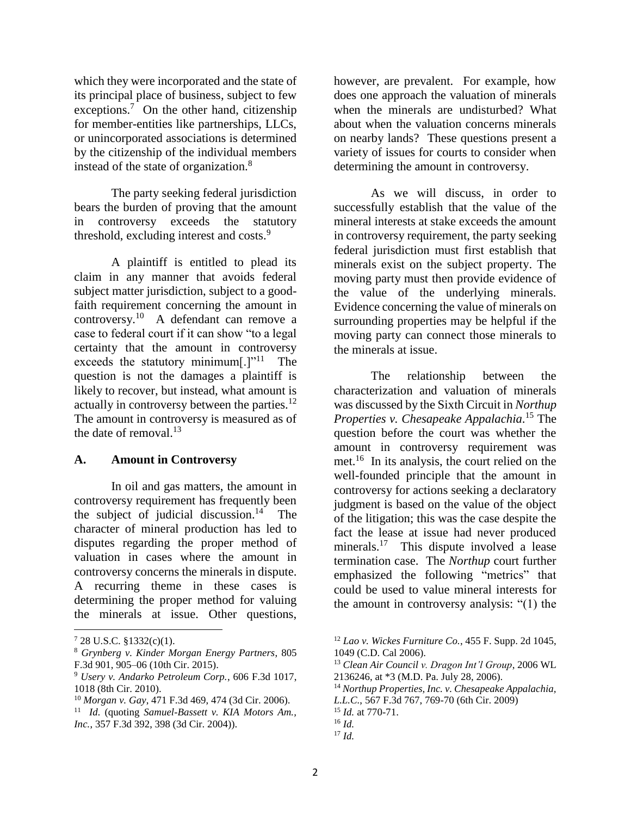which they were incorporated and the state of its principal place of business, subject to few exceptions.<sup>7</sup> On the other hand, citizenship for member-entities like partnerships, LLCs, or unincorporated associations is determined by the citizenship of the individual members instead of the state of organization. $8$ 

The party seeking federal jurisdiction bears the burden of proving that the amount in controversy exceeds the statutory threshold, excluding interest and costs.<sup>9</sup>

A plaintiff is entitled to plead its claim in any manner that avoids federal subject matter jurisdiction, subject to a goodfaith requirement concerning the amount in controversy.<sup>10</sup> A defendant can remove a case to federal court if it can show "to a legal certainty that the amount in controversy exceeds the statutory minimum $[.]$ <sup>''11</sup> The question is not the damages a plaintiff is likely to recover, but instead, what amount is actually in controversy between the parties.<sup>12</sup> The amount in controversy is measured as of the date of removal.<sup>13</sup>

## **A. Amount in Controversy**

In oil and gas matters, the amount in controversy requirement has frequently been the subject of judicial discussion.<sup>14</sup> The character of mineral production has led to disputes regarding the proper method of valuation in cases where the amount in controversy concerns the minerals in dispute. A recurring theme in these cases is determining the proper method for valuing the minerals at issue. Other questions,

 $\overline{\phantom{a}}$ 

however, are prevalent. For example, how does one approach the valuation of minerals when the minerals are undisturbed? What about when the valuation concerns minerals on nearby lands? These questions present a variety of issues for courts to consider when determining the amount in controversy.

As we will discuss, in order to successfully establish that the value of the mineral interests at stake exceeds the amount in controversy requirement, the party seeking federal jurisdiction must first establish that minerals exist on the subject property. The moving party must then provide evidence of the value of the underlying minerals. Evidence concerning the value of minerals on surrounding properties may be helpful if the moving party can connect those minerals to the minerals at issue.

The relationship between the characterization and valuation of minerals was discussed by the Sixth Circuit in *Northup Properties v. Chesapeake Appalachia*. <sup>15</sup> The question before the court was whether the amount in controversy requirement was met.<sup>16</sup> In its analysis, the court relied on the well-founded principle that the amount in controversy for actions seeking a declaratory judgment is based on the value of the object of the litigation; this was the case despite the fact the lease at issue had never produced minerals.<sup>17</sup> This dispute involved a lease termination case. The *Northup* court further emphasized the following "metrics" that could be used to value mineral interests for the amount in controversy analysis: "(1) the

 $728$  U.S.C. §1332(c)(1).

<sup>8</sup> *Grynberg v. Kinder Morgan Energy Partners*, 805 F.3d 901, 905–06 (10th Cir. 2015).

<sup>9</sup> *Usery v. Andarko Petroleum Corp.*, 606 F.3d 1017, 1018 (8th Cir. 2010).

<sup>10</sup> *Morgan v. Gay*, 471 F.3d 469, 474 (3d Cir. 2006).

<sup>11</sup> *Id.* (quoting *Samuel-Bassett v. KIA Motors Am., Inc.*, 357 F.3d 392, 398 (3d Cir. 2004)).

<sup>12</sup> *Lao v. Wickes Furniture Co.*, 455 F. Supp. 2d 1045, 1049 (C.D. Cal 2006).

<sup>13</sup> *Clean Air Council v. Dragon Int'l Group*, 2006 WL 2136246, at \*3 (M.D. Pa. July 28, 2006).

<sup>14</sup> *Northup Properties, Inc. v. Chesapeake Appalachia, L.L.C.*, 567 F.3d 767, 769-70 (6th Cir. 2009)

<sup>15</sup> *Id.* at 770-71.

<sup>16</sup> *Id.*

 $17 \, Id.$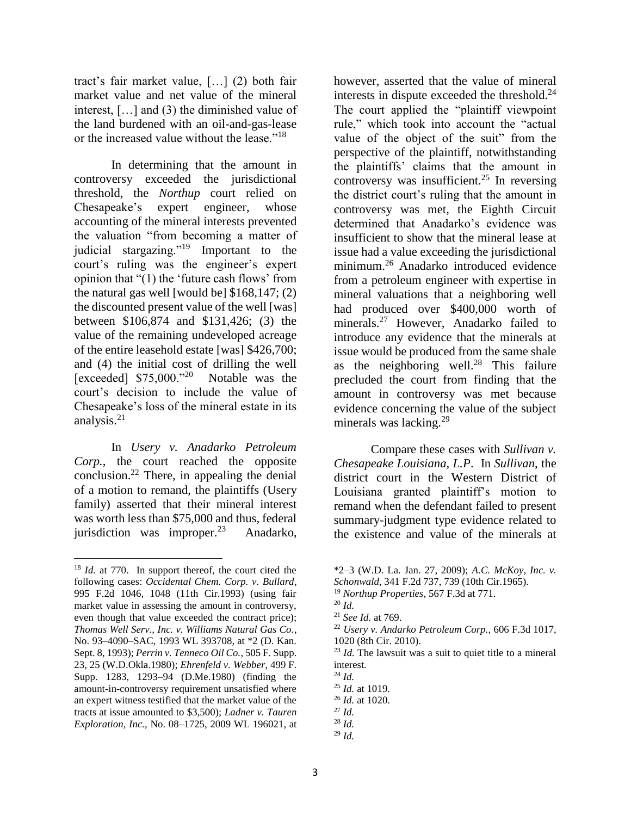tract's fair market value, […] (2) both fair market value and net value of the mineral interest, […] and (3) the diminished value of the land burdened with an oil-and-gas-lease or the increased value without the lease."<sup>18</sup>

In determining that the amount in controversy exceeded the jurisdictional threshold, the *Northup* court relied on Chesapeake's expert engineer, whose accounting of the mineral interests prevented the valuation "from becoming a matter of judicial stargazing."<sup>19</sup> Important to the court's ruling was the engineer's expert opinion that "(1) the 'future cash flows' from the natural gas well [would be] \$168,147; (2) the discounted present value of the well [was] between \$106,874 and \$131,426; (3) the value of the remaining undeveloped acreage of the entire leasehold estate [was] \$426,700; and (4) the initial cost of drilling the well [exceeded] \$75,000."<sup>20</sup> Notable was the court's decision to include the value of Chesapeake's loss of the mineral estate in its analysis. 21

In *Usery v. Anadarko Petroleum Corp.*, the court reached the opposite conclusion.<sup>22</sup> There, in appealing the denial of a motion to remand, the plaintiffs (Usery family) asserted that their mineral interest was worth less than \$75,000 and thus, federal jurisdiction was improper. $23$ Anadarko,

l

however, asserted that the value of mineral interests in dispute exceeded the threshold. $^{24}$ The court applied the "plaintiff viewpoint rule," which took into account the "actual value of the object of the suit" from the perspective of the plaintiff, notwithstanding the plaintiffs' claims that the amount in controversy was insufficient.<sup>25</sup> In reversing the district court's ruling that the amount in controversy was met, the Eighth Circuit determined that Anadarko's evidence was insufficient to show that the mineral lease at issue had a value exceeding the jurisdictional minimum.<sup>26</sup> Anadarko introduced evidence from a petroleum engineer with expertise in mineral valuations that a neighboring well had produced over \$400,000 worth of minerals.<sup>27</sup> However, Anadarko failed to introduce any evidence that the minerals at issue would be produced from the same shale as the neighboring well.<sup>28</sup> This failure precluded the court from finding that the amount in controversy was met because evidence concerning the value of the subject minerals was lacking.<sup>29</sup>

Compare these cases with *Sullivan v. Chesapeake Louisiana, L.P*. In *Sullivan*, the district court in the Western District of Louisiana granted plaintiff's motion to remand when the defendant failed to present summary-judgment type evidence related to the existence and value of the minerals at

- <sup>22</sup> *Usery v. Andarko Petroleum Corp.*, 606 F.3d 1017, 1020 (8th Cir. 2010).
- <sup>23</sup> *Id.* The lawsuit was a suit to quiet title to a mineral interest.

<sup>25</sup> *Id.* at 1019.

<sup>27</sup> *Id.* 

 $^{29}$  *Id.* 

<sup>18</sup> *Id.* at 770. In support thereof, the court cited the following cases: *Occidental Chem. Corp. v. Bullard*, 995 F.2d 1046, 1048 (11th Cir.1993) (using fair market value in assessing the amount in controversy, even though that value exceeded the contract price); *Thomas Well Serv., Inc. v. Williams Natural Gas Co.*, No. 93–4090–SAC, 1993 WL 393708, at \*2 (D. Kan. Sept. 8, 1993); *Perrin v. Tenneco Oil Co.*, 505 F. Supp. 23, 25 (W.D.Okla.1980); *Ehrenfeld v. Webber*, 499 F. Supp. 1283, 1293–94 (D.Me.1980) (finding the amount-in-controversy requirement unsatisfied where an expert witness testified that the market value of the tracts at issue amounted to \$3,500); *Ladner v. Tauren Exploration, Inc.*, No. 08–1725, 2009 WL 196021, at

<sup>\*2–3 (</sup>W.D. La. Jan. 27, 2009); *A.C. McKoy, Inc. v. Schonwald*, 341 F.2d 737, 739 (10th Cir.1965).

<sup>19</sup> *Northup Properties*, 567 F.3d at 771.

 $^{20}$  *Id.* 

<sup>21</sup> *See Id.* at 769.

<sup>24</sup> *Id.*

<sup>26</sup> *Id.* at 1020.

<sup>28</sup> *Id.*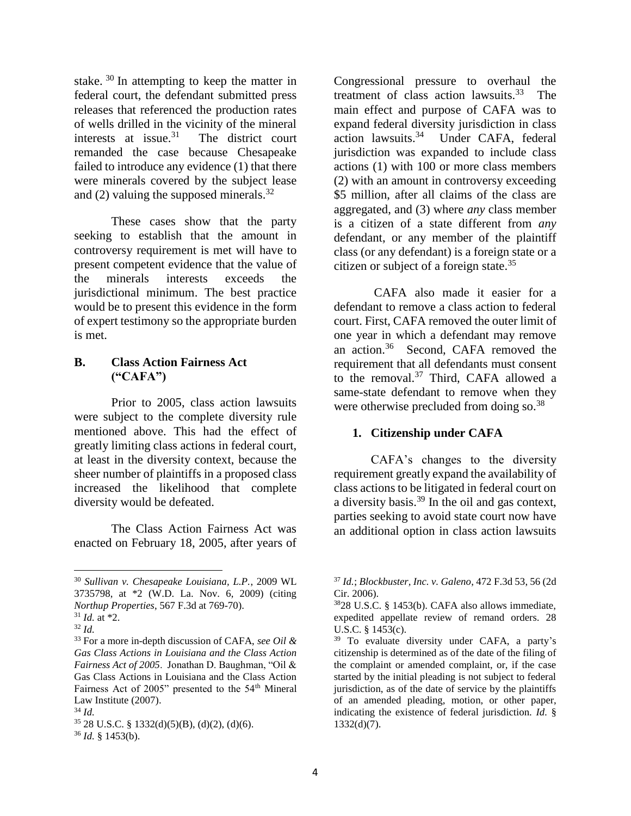stake. <sup>30</sup> In attempting to keep the matter in federal court, the defendant submitted press releases that referenced the production rates of wells drilled in the vicinity of the mineral interests at issue.<sup>31</sup> The district court remanded the case because Chesapeake failed to introduce any evidence (1) that there were minerals covered by the subject lease and (2) valuing the supposed minerals. $^{32}$ 

These cases show that the party seeking to establish that the amount in controversy requirement is met will have to present competent evidence that the value of the minerals interests exceeds the jurisdictional minimum. The best practice would be to present this evidence in the form of expert testimony so the appropriate burden is met.

## **B. Class Action Fairness Act ("CAFA")**

Prior to 2005, class action lawsuits were subject to the complete diversity rule mentioned above. This had the effect of greatly limiting class actions in federal court, at least in the diversity context, because the sheer number of plaintiffs in a proposed class increased the likelihood that complete diversity would be defeated.

The Class Action Fairness Act was enacted on February 18, 2005, after years of

 $\overline{a}$ 

Congressional pressure to overhaul the treatment of class action lawsuits. $33$  The main effect and purpose of CAFA was to expand federal diversity jurisdiction in class action lawsuits.<sup>34</sup> Under CAFA, federal jurisdiction was expanded to include class actions (1) with 100 or more class members (2) with an amount in controversy exceeding \$5 million, after all claims of the class are aggregated, and (3) where *any* class member is a citizen of a state different from *any*  defendant, or any member of the plaintiff class (or any defendant) is a foreign state or a citizen or subject of a foreign state.<sup>35</sup>

CAFA also made it easier for a defendant to remove a class action to federal court. First, CAFA removed the outer limit of one year in which a defendant may remove an action.<sup>36</sup> Second, CAFA removed the requirement that all defendants must consent to the removal.<sup>37</sup> Third, CAFA allowed a same-state defendant to remove when they were otherwise precluded from doing so.<sup>38</sup>

# **1. Citizenship under CAFA**

CAFA's changes to the diversity requirement greatly expand the availability of class actions to be litigated in federal court on a diversity basis.<sup>39</sup> In the oil and gas context, parties seeking to avoid state court now have an additional option in class action lawsuits

<sup>30</sup> *Sullivan v. Chesapeake Louisiana, L.P.*, 2009 WL 3735798, at \*2 (W.D. La. Nov. 6, 2009) (citing *Northup Properties*, 567 F.3d at 769-70).

<sup>31</sup> *Id.* at \*2.

<sup>32</sup> *Id.* 

<sup>33</sup> For a more in-depth discussion of CAFA, *see Oil & Gas Class Actions in Louisiana and the Class Action Fairness Act of 2005*. Jonathan D. Baughman, "Oil & Gas Class Actions in Louisiana and the Class Action Fairness Act of 2005" presented to the 54th Mineral Law Institute (2007).

<sup>34</sup> *Id.* 

 $35$  28 U.S.C. § 1332(d)(5)(B), (d)(2), (d)(6).  $36$  *Id.* § 1453(b).

<sup>37</sup> *Id.*; *Blockbuster, Inc. v. Galeno*, 472 F.3d 53, 56 (2d Cir. 2006).

<sup>38</sup>28 U.S.C. § 1453(b). CAFA also allows immediate, expedited appellate review of remand orders. 28 U.S.C. § 1453(c).

<sup>39</sup> To evaluate diversity under CAFA, a party's citizenship is determined as of the date of the filing of the complaint or amended complaint, or, if the case started by the initial pleading is not subject to federal jurisdiction, as of the date of service by the plaintiffs of an amended pleading, motion, or other paper, indicating the existence of federal jurisdiction. *Id.* § 1332(d)(7).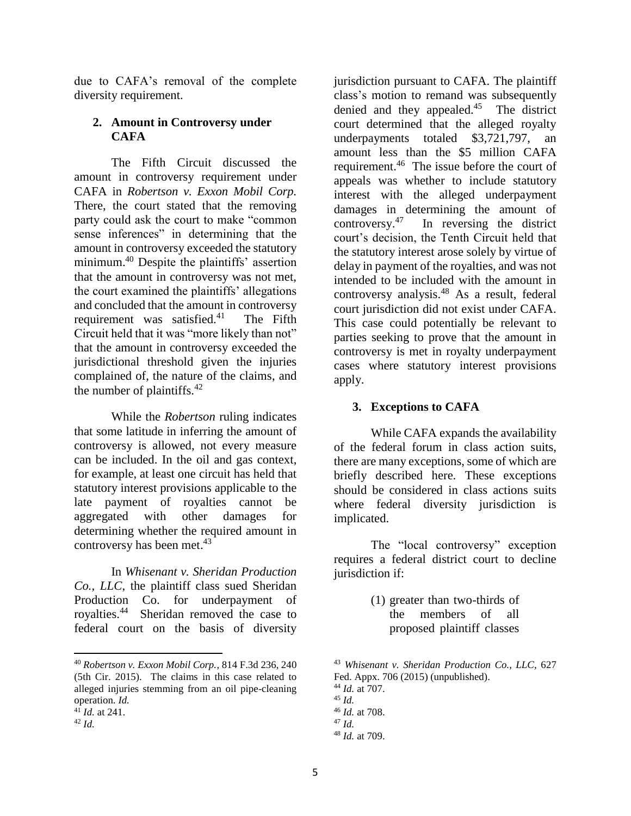due to CAFA's removal of the complete diversity requirement.

# **2. Amount in Controversy under CAFA**

The Fifth Circuit discussed the amount in controversy requirement under CAFA in *Robertson v. Exxon Mobil Corp.*  There, the court stated that the removing party could ask the court to make "common sense inferences" in determining that the amount in controversy exceeded the statutory minimum. <sup>40</sup> Despite the plaintiffs' assertion that the amount in controversy was not met, the court examined the plaintiffs' allegations and concluded that the amount in controversy requirement was satisfied.<sup>41</sup> The Fifth Circuit held that it was "more likely than not" that the amount in controversy exceeded the jurisdictional threshold given the injuries complained of, the nature of the claims, and the number of plaintiffs.<sup>42</sup>

While the *Robertson* ruling indicates that some latitude in inferring the amount of controversy is allowed, not every measure can be included. In the oil and gas context, for example, at least one circuit has held that statutory interest provisions applicable to the late payment of royalties cannot be aggregated with other damages for determining whether the required amount in controversy has been met. 43

In *Whisenant v. Sheridan Production Co., LLC*, the plaintiff class sued Sheridan Production Co. for underpayment of royalties.<sup>44</sup> Sheridan removed the case to federal court on the basis of diversity

 $\overline{\phantom{a}}$ 

jurisdiction pursuant to CAFA. The plaintiff class's motion to remand was subsequently denied and they appealed.<sup>45</sup> The district court determined that the alleged royalty underpayments totaled \$3,721,797, an amount less than the \$5 million CAFA requirement.<sup>46</sup> The issue before the court of appeals was whether to include statutory interest with the alleged underpayment damages in determining the amount of controversy. 47 In reversing the district court's decision, the Tenth Circuit held that the statutory interest arose solely by virtue of delay in payment of the royalties, and was not intended to be included with the amount in controversy analysis. <sup>48</sup> As a result, federal court jurisdiction did not exist under CAFA. This case could potentially be relevant to parties seeking to prove that the amount in controversy is met in royalty underpayment cases where statutory interest provisions apply.

## **3. Exceptions to CAFA**

While CAFA expands the availability of the federal forum in class action suits, there are many exceptions, some of which are briefly described here. These exceptions should be considered in class actions suits where federal diversity jurisdiction is implicated.

The "local controversy" exception requires a federal district court to decline jurisdiction if:

> (1) greater than two-thirds of the members of all proposed plaintiff classes

<sup>43</sup> *Whisenant v. Sheridan Production Co., LLC*, 627 Fed. Appx. 706 (2015) (unpublished). <sup>44</sup> *Id.* at 707. <sup>45</sup> *Id.*  <sup>46</sup> *Id.* at 708. <sup>47</sup> *Id.*  <sup>48</sup> *Id.* at 709.

<sup>40</sup> *Robertson v. Exxon Mobil Corp.*, 814 F.3d 236, 240 (5th Cir. 2015). The claims in this case related to alleged injuries stemming from an oil pipe-cleaning operation. *Id.* 

 $^{41}$ *Id.* at 241.

<sup>42</sup> *Id.*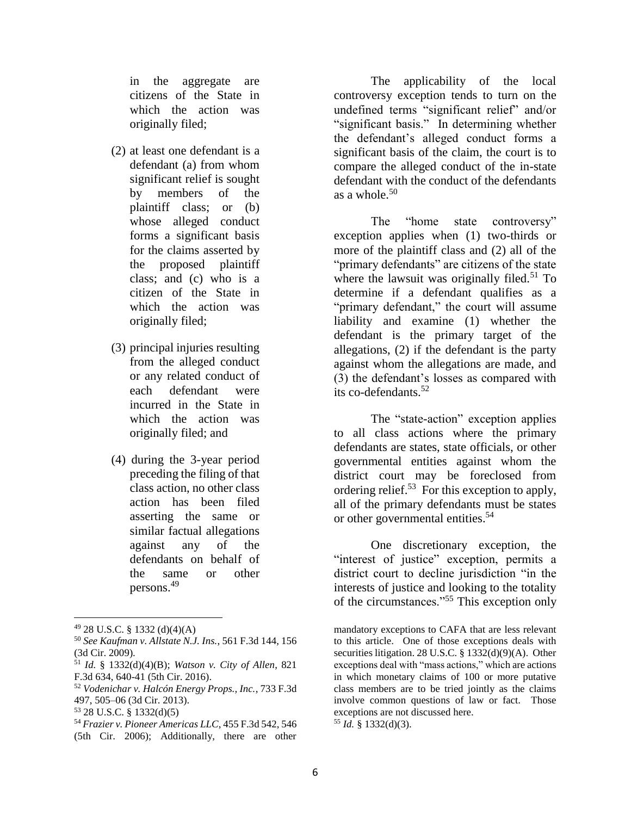in the aggregate are citizens of the State in which the action was originally filed;

- (2) at least one defendant is a defendant (a) from whom significant relief is sought by members of the plaintiff class; or (b) whose alleged conduct forms a significant basis for the claims asserted by the proposed plaintiff class; and (c) who is a citizen of the State in which the action was originally filed;
- (3) principal injuries resulting from the alleged conduct or any related conduct of each defendant were incurred in the State in which the action was originally filed; and
- (4) during the 3-year period preceding the filing of that class action, no other class action has been filed asserting the same or similar factual allegations against any of the defendants on behalf of the same or other persons.<sup>49</sup>

 $\overline{\phantom{a}}$ 

- <sup>53</sup> 28 U.S.C. § 1332(d)(5)
- <sup>54</sup> *Frazier v. Pioneer Americas LLC*, 455 F.3d 542, 546 (5th Cir. 2006); Additionally, there are other

The applicability of the local controversy exception tends to turn on the undefined terms "significant relief" and/or "significant basis." In determining whether the defendant's alleged conduct forms a significant basis of the claim, the court is to compare the alleged conduct of the in-state defendant with the conduct of the defendants as a whole.<sup>50</sup>

The "home state controversy" exception applies when (1) two-thirds or more of the plaintiff class and (2) all of the "primary defendants" are citizens of the state where the lawsuit was originally filed.<sup>51</sup> To determine if a defendant qualifies as a "primary defendant," the court will assume liability and examine (1) whether the defendant is the primary target of the allegations, (2) if the defendant is the party against whom the allegations are made, and (3) the defendant's losses as compared with its co-defendants.<sup>52</sup>

The "state-action" exception applies to all class actions where the primary defendants are states, state officials, or other governmental entities against whom the district court may be foreclosed from ordering relief.<sup>53</sup> For this exception to apply, all of the primary defendants must be states or other governmental entities.<sup>54</sup>

One discretionary exception, the "interest of justice" exception, permits a district court to decline jurisdiction "in the interests of justice and looking to the totality of the circumstances."<sup>55</sup> This exception only

 $49$  28 U.S.C. § 1332 (d)(4)(A)

<sup>50</sup> *See Kaufman v. Allstate N.J. Ins.*, 561 F.3d 144, 156 (3d Cir. 2009).

<sup>51</sup> *Id.* § 1332(d)(4)(B); *Watson v. City of Allen*, 821 F.3d 634, 640-41 (5th Cir. 2016).

<sup>52</sup> *Vodenichar v. Halcón Energy Props., Inc.*, 733 F.3d 497, 505–06 (3d Cir. 2013).

mandatory exceptions to CAFA that are less relevant to this article. One of those exceptions deals with securities litigation. 28 U.S.C. § 1332(d)(9)(A). Other exceptions deal with "mass actions," which are actions in which monetary claims of 100 or more putative class members are to be tried jointly as the claims involve common questions of law or fact. Those exceptions are not discussed here. <sup>55</sup> *Id.* § 1332(d)(3).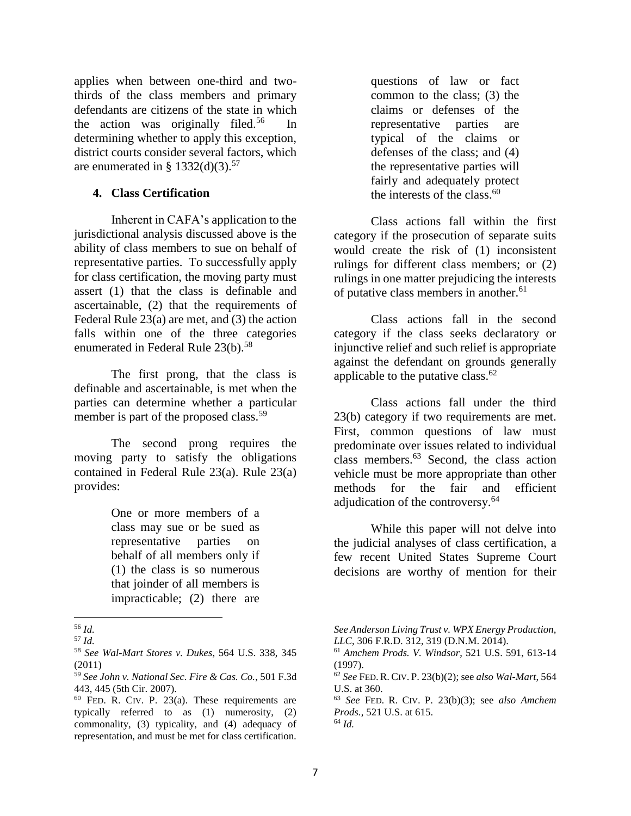applies when between one-third and twothirds of the class members and primary defendants are citizens of the state in which the action was originally filed.<sup>56</sup> In determining whether to apply this exception, district courts consider several factors, which are enumerated in §  $1332(d)(3).^{57}$ 

## **4. Class Certification**

Inherent in CAFA's application to the jurisdictional analysis discussed above is the ability of class members to sue on behalf of representative parties. To successfully apply for class certification, the moving party must assert (1) that the class is definable and ascertainable, (2) that the requirements of Federal Rule 23(a) are met, and (3) the action falls within one of the three categories enumerated in Federal Rule  $23(b)$ .<sup>58</sup>

The first prong, that the class is definable and ascertainable, is met when the parties can determine whether a particular member is part of the proposed class.<sup>59</sup>

The second prong requires the moving party to satisfy the obligations contained in Federal Rule 23(a). Rule 23(a) provides:

> One or more members of a class may sue or be sued as representative parties on behalf of all members only if (1) the class is so numerous that joinder of all members is impracticable; (2) there are

 $\overline{\phantom{a}}$ 

questions of law or fact common to the class; (3) the claims or defenses of the representative parties are typical of the claims or defenses of the class; and (4) the representative parties will fairly and adequately protect the interests of the class. 60

Class actions fall within the first category if the prosecution of separate suits would create the risk of (1) inconsistent rulings for different class members; or (2) rulings in one matter prejudicing the interests of putative class members in another. 61

Class actions fall in the second category if the class seeks declaratory or injunctive relief and such relief is appropriate against the defendant on grounds generally applicable to the putative class.<sup>62</sup> 

Class actions fall under the third 23(b) category if two requirements are met. First, common questions of law must predominate over issues related to individual class members.<sup>63</sup> Second, the class action vehicle must be more appropriate than other methods for the fair and efficient adjudication of the controversy.<sup>64</sup>

While this paper will not delve into the judicial analyses of class certification, a few recent United States Supreme Court decisions are worthy of mention for their

<sup>63</sup> *See* FED. R. CIV. P. 23(b)(3); see *also Amchem Prods.*, 521 U.S. at 615. <sup>64</sup> *Id.* 

<sup>56</sup> *Id.* 

<sup>57</sup> *Id.* 

<sup>58</sup> *See Wal-Mart Stores v. Dukes*, 564 U.S. 338, 345 (2011)

<sup>59</sup> *See John v. National Sec. Fire & Cas. Co.*, 501 F.3d 443, 445 (5th Cir. 2007).

 $60$  FED. R. CIV. P. 23(a). These requirements are typically referred to as (1) numerosity, (2) commonality, (3) typicality, and (4) adequacy of representation, and must be met for class certification.

*See Anderson Living Trust v. WPX Energy Production, LLC*, 306 F.R.D. 312, 319 (D.N.M. 2014).

<sup>61</sup> *Amchem Prods. V. Windsor*, 521 U.S. 591, 613-14 (1997).

<sup>62</sup> *See* FED. R. CIV. P. 23(b)(2); see *also Wal-Mart*, 564 U.S. at 360.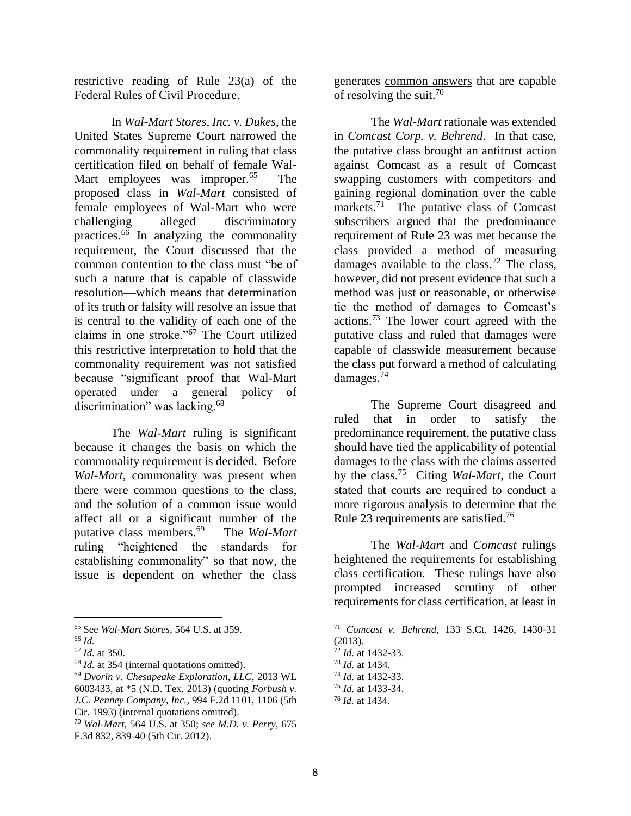restrictive reading of Rule 23(a) of the Federal Rules of Civil Procedure.

In *Wal-Mart Stores, Inc. v. Dukes*, the United States Supreme Court narrowed the commonality requirement in ruling that class certification filed on behalf of female Wal-Mart employees was improper.<sup>65</sup> The proposed class in *Wal-Mart* consisted of female employees of Wal-Mart who were challenging alleged discriminatory practices. <sup>66</sup> In analyzing the commonality requirement, the Court discussed that the common contention to the class must "be of such a nature that is capable of classwide resolution—which means that determination of its truth or falsity will resolve an issue that is central to the validity of each one of the claims in one stroke." $\frac{67}{7}$  The Court utilized this restrictive interpretation to hold that the commonality requirement was not satisfied because "significant proof that Wal-Mart operated under a general policy of discrimination" was lacking.<sup>68</sup>

The *Wal-Mart* ruling is significant because it changes the basis on which the commonality requirement is decided. Before *Wal-Mart*, commonality was present when there were common questions to the class, and the solution of a common issue would affect all or a significant number of the putative class members.<sup>69</sup> The *Wal-Mart*  ruling "heightened the standards for establishing commonality" so that now, the issue is dependent on whether the class

 $\overline{\phantom{a}}$ 

generates common answers that are capable of resolving the suit.<sup>70</sup>

The *Wal-Mart* rationale was extended in *Comcast Corp. v. Behrend*. In that case, the putative class brought an antitrust action against Comcast as a result of Comcast swapping customers with competitors and gaining regional domination over the cable markets.<sup>71</sup> The putative class of Comcast subscribers argued that the predominance requirement of Rule 23 was met because the class provided a method of measuring damages available to the class.<sup>72</sup> The class, however, did not present evidence that such a method was just or reasonable, or otherwise tie the method of damages to Comcast's actions.<sup>73</sup> The lower court agreed with the putative class and ruled that damages were capable of classwide measurement because the class put forward a method of calculating damages. 74

The Supreme Court disagreed and ruled that in order to satisfy the predominance requirement, the putative class should have tied the applicability of potential damages to the class with the claims asserted by the class.<sup>75</sup> Citing *Wal-Mart*, the Court stated that courts are required to conduct a more rigorous analysis to determine that the Rule 23 requirements are satisfied.<sup>76</sup>

The *Wal-Mart* and *Comcast* rulings heightened the requirements for establishing class certification. These rulings have also prompted increased scrutiny of other requirements for class certification, at least in

<sup>65</sup> See *Wal-Mart Stores,* 564 U.S. at 359.

<sup>66</sup> *Id.* 

<sup>67</sup> *Id.* at 350.

<sup>68</sup> *Id.* at 354 (internal quotations omitted).

<sup>69</sup> *Dvorin v. Chesapeake Exploration, LLC*, 2013 WL 6003433, at \*5 (N.D. Tex. 2013) (quoting *Forbush v.* 

*J.C. Penney Company, Inc.*, 994 F.2d 1101, 1106 (5th Cir. 1993) (internal quotations omitted).

<sup>70</sup> *Wal-Mart*, 564 U.S. at 350; *see M.D. v. Perry*, 675 F.3d 832, 839-40 (5th Cir. 2012).

<sup>71</sup> *Comcast v. Behrend*, 133 S.Ct. 1426, 1430-31 (2013). <sup>72</sup> *Id.* at 1432-33.

<sup>73</sup> *Id.* at 1434.

<sup>74</sup> *Id.* at 1432-33.

<sup>75</sup> *Id.* at 1433-34.

<sup>76</sup> *Id.* at 1434.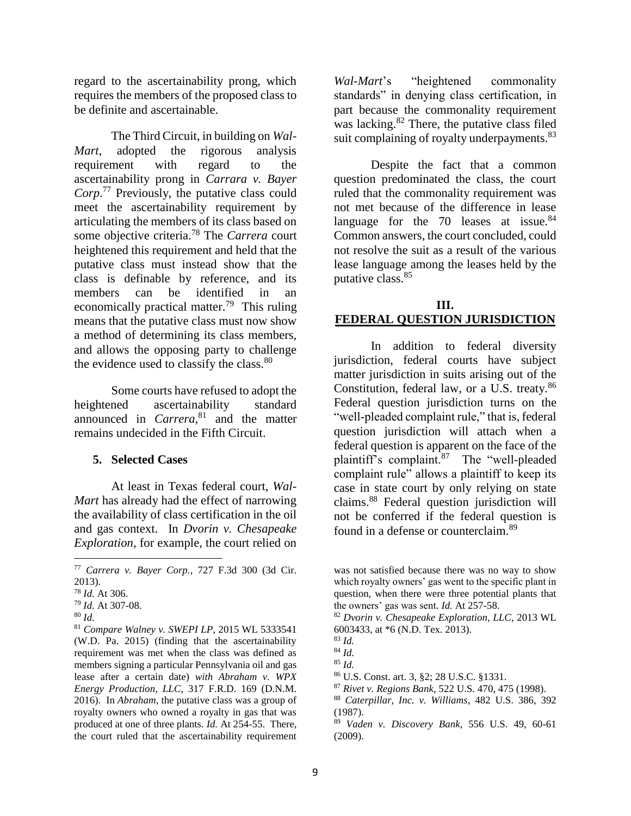regard to the ascertainability prong, which requires the members of the proposed class to be definite and ascertainable.

The Third Circuit, in building on *Wal-Mart*, adopted the rigorous analysis requirement with regard to the ascertainability prong in *Carrara v. Bayer Corp*. <sup>77</sup> Previously, the putative class could meet the ascertainability requirement by articulating the members of its class based on some objective criteria.<sup>78</sup> The *Carrera* court heightened this requirement and held that the putative class must instead show that the class is definable by reference, and its members can be identified in an economically practical matter.<sup>79</sup> This ruling means that the putative class must now show a method of determining its class members, and allows the opposing party to challenge the evidence used to classify the class.<sup>80</sup>

Some courts have refused to adopt the heightened ascertainability standard announced in *Carrera*, <sup>81</sup> and the matter remains undecided in the Fifth Circuit.

#### **5. Selected Cases**

At least in Texas federal court, *Wal-Mart* has already had the effect of narrowing the availability of class certification in the oil and gas context. In *Dvorin v. Chesapeake Exploration*, for example, the court relied on

l

<sup>81</sup> *Compare Walney v. SWEPI LP*, 2015 WL 5333541 (W.D. Pa. 2015) (finding that the ascertainability requirement was met when the class was defined as members signing a particular Pennsylvania oil and gas lease after a certain date) *with Abraham v. WPX Energy Production, LLC*, 317 F.R.D. 169 (D.N.M. 2016). In *Abraham*, the putative class was a group of royalty owners who owned a royalty in gas that was produced at one of three plants. *Id.* At 254-55. There, the court ruled that the ascertainability requirement

*Wal-Mart*'s "heightened commonality standards" in denying class certification, in part because the commonality requirement was lacking. $82$  There, the putative class filed suit complaining of royalty underpayments. <sup>83</sup>

Despite the fact that a common question predominated the class, the court ruled that the commonality requirement was not met because of the difference in lease language for the 70 leases at issue. $84$ Common answers, the court concluded, could not resolve the suit as a result of the various lease language among the leases held by the putative class.<sup>85</sup>

# **III. FEDERAL QUESTION JURISDICTION**

In addition to federal diversity jurisdiction, federal courts have subject matter jurisdiction in suits arising out of the Constitution, federal law, or a U.S. treaty.<sup>86</sup> Federal question jurisdiction turns on the "well-pleaded complaint rule," that is, federal question jurisdiction will attach when a federal question is apparent on the face of the plaintiff's complaint.<sup>87</sup> The "well-pleaded complaint rule" allows a plaintiff to keep its case in state court by only relying on state claims.<sup>88</sup> Federal question jurisdiction will not be conferred if the federal question is found in a defense or counterclaim.<sup>89</sup>

<sup>77</sup> *Carrera v. Bayer Corp.*, 727 F.3d 300 (3d Cir. 2013).

<sup>78</sup> *Id.* At 306.

<sup>79</sup> *Id.* At 307-08.

<sup>80</sup> *Id.* 

was not satisfied because there was no way to show which royalty owners' gas went to the specific plant in question, when there were three potential plants that the owners' gas was sent. *Id.* At 257-58.

<sup>82</sup> *Dvorin v. Chesapeake Exploration, LLC*, 2013 WL 6003433, at \*6 (N.D. Tex. 2013).

<sup>83</sup> *Id.* 

<sup>84</sup> *Id.* 

<sup>85</sup> *Id.*

<sup>86</sup> U.S. Const. art. 3, §2; 28 U.S.C. §1331.

<sup>87</sup> *Rivet v. Regions Bank*, 522 U.S. 470, 475 (1998).

<sup>88</sup> *Caterpillar, Inc. v. Williams*, 482 U.S. 386, 392 (1987).

<sup>89</sup> *Vaden v. Discovery Bank*, 556 U.S. 49, 60-61 (2009).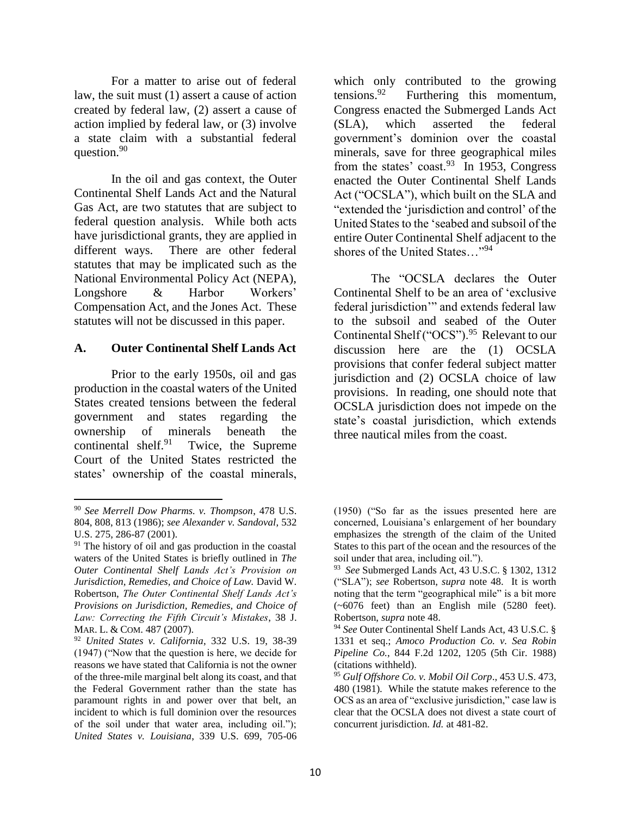For a matter to arise out of federal law, the suit must (1) assert a cause of action created by federal law, (2) assert a cause of action implied by federal law, or (3) involve a state claim with a substantial federal question.<sup>90</sup>

In the oil and gas context, the Outer Continental Shelf Lands Act and the Natural Gas Act, are two statutes that are subject to federal question analysis. While both acts have jurisdictional grants, they are applied in different ways. There are other federal statutes that may be implicated such as the National Environmental Policy Act (NEPA), Longshore & Harbor Workers' Compensation Act, and the Jones Act. These statutes will not be discussed in this paper.

# **A. Outer Continental Shelf Lands Act**

Prior to the early 1950s, oil and gas production in the coastal waters of the United States created tensions between the federal government and states regarding the ownership of minerals beneath the continental shelf. $91$  Twice, the Supreme Court of the United States restricted the states' ownership of the coastal minerals,

which only contributed to the growing tensions.<sup>92</sup> Furthering this momentum, Congress enacted the Submerged Lands Act (SLA), which asserted the federal government's dominion over the coastal minerals, save for three geographical miles from the states' coast. $93$  In 1953, Congress enacted the Outer Continental Shelf Lands Act ("OCSLA"), which built on the SLA and "extended the 'jurisdiction and control' of the United States to the 'seabed and subsoil of the entire Outer Continental Shelf adjacent to the shores of the United States…"<sup>94</sup>

The "OCSLA declares the Outer Continental Shelf to be an area of 'exclusive federal jurisdiction'" and extends federal law to the subsoil and seabed of the Outer Continental Shelf ("OCS").<sup>95</sup> Relevant to our discussion here are the (1) OCSLA provisions that confer federal subject matter jurisdiction and (2) OCSLA choice of law provisions. In reading, one should note that OCSLA jurisdiction does not impede on the state's coastal jurisdiction, which extends three nautical miles from the coast.

 $\overline{a}$ <sup>90</sup> *See Merrell Dow Pharms. v. Thompson*, 478 U.S. 804, 808, 813 (1986); *see Alexander v. Sandoval*, 532 U.S. 275, 286-87 (2001).

 $91$  The history of oil and gas production in the coastal waters of the United States is briefly outlined in *The Outer Continental Shelf Lands Act's Provision on Jurisdiction, Remedies, and Choice of Law.* David W. Robertson, *The Outer Continental Shelf Lands Act's Provisions on Jurisdiction, Remedies, and Choice of Law: Correcting the Fifth Circuit's Mistakes*, 38 J. MAR. L. & COM. 487 (2007).

<sup>92</sup> *United States v. California*, 332 U.S. 19, 38-39 (1947) ("Now that the question is here, we decide for reasons we have stated that California is not the owner of the three-mile marginal belt along its coast, and that the Federal Government rather than the state has paramount rights in and power over that belt, an incident to which is full dominion over the resources of the soil under that water area, including oil."); *United States v. Louisiana*, 339 U.S. 699, 705-06

<sup>(1950) (&</sup>quot;So far as the issues presented here are concerned, Louisiana's enlargement of her boundary emphasizes the strength of the claim of the United States to this part of the ocean and the resources of the soil under that area, including oil.").

<sup>93</sup> *See* Submerged Lands Act, 43 U.S.C. § 1302, 1312 ("SLA"); *see* Robertson, *supra* note 48. It is worth noting that the term "geographical mile" is a bit more (~6076 feet) than an English mile (5280 feet). Robertson, *supra* note 48.

<sup>94</sup> *See* Outer Continental Shelf Lands Act, 43 U.S.C. § 1331 et seq.; *Amoco Production Co. v. Sea Robin Pipeline Co.*, 844 F.2d 1202, 1205 (5th Cir. 1988) (citations withheld).

<sup>95</sup> *Gulf Offshore Co. v. Mobil Oil Corp*., 453 U.S. 473, 480 (1981). While the statute makes reference to the OCS as an area of "exclusive jurisdiction," case law is clear that the OCSLA does not divest a state court of concurrent jurisdiction. *Id.* at 481-82.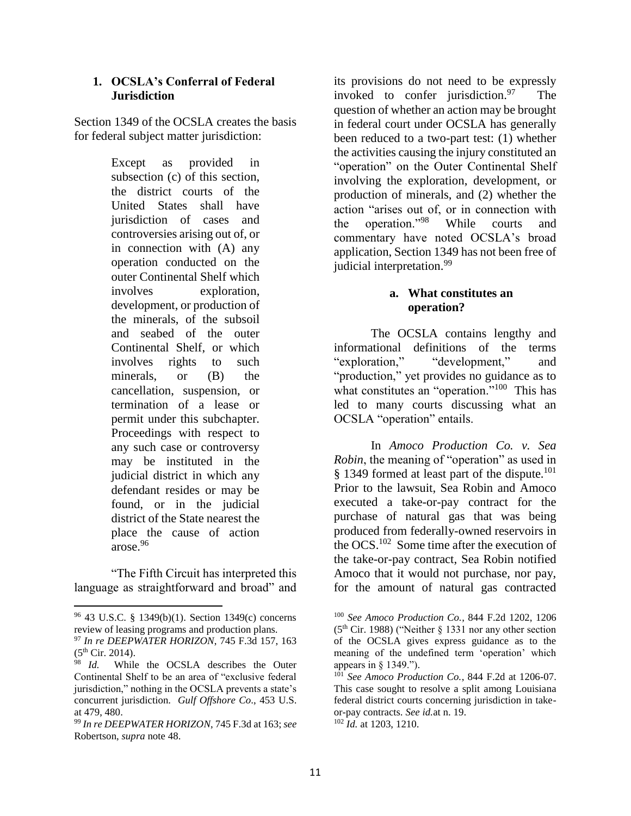## **1. OCSLA's Conferral of Federal Jurisdiction**

Section 1349 of the OCSLA creates the basis for federal subject matter jurisdiction:

> Except as provided in subsection (c) of this section, the district courts of the United States shall have jurisdiction of cases and controversies arising out of, or in connection with (A) any operation conducted on the outer Continental Shelf which involves exploration, development, or production of the minerals, of the subsoil and seabed of the outer Continental Shelf, or which involves rights to such minerals, or (B) the cancellation, suspension, or termination of a lease or permit under this subchapter. Proceedings with respect to any such case or controversy may be instituted in the judicial district in which any defendant resides or may be found, or in the judicial district of the State nearest the place the cause of action arose.<sup>96</sup>

"The Fifth Circuit has interpreted this language as straightforward and broad" and

 $\overline{a}$ 

its provisions do not need to be expressly invoked to confer jurisdiction. $97$  The question of whether an action may be brought in federal court under OCSLA has generally been reduced to a two-part test: (1) whether the activities causing the injury constituted an "operation" on the Outer Continental Shelf involving the exploration, development, or production of minerals, and (2) whether the action "arises out of, or in connection with the operation."<sup>98</sup> While courts and commentary have noted OCSLA's broad application, Section 1349 has not been free of judicial interpretation. 99

# **a. What constitutes an operation?**

The OCSLA contains lengthy and informational definitions of the terms "exploration," "development," and "production," yet provides no guidance as to what constitutes an "operation."<sup>100</sup> This has led to many courts discussing what an OCSLA "operation" entails.

In *Amoco Production Co. v. Sea Robin*, the meaning of "operation" as used in § 1349 formed at least part of the dispute.<sup>101</sup> Prior to the lawsuit, Sea Robin and Amoco executed a take-or-pay contract for the purchase of natural gas that was being produced from federally-owned reservoirs in the OCS.<sup>102</sup> Some time after the execution of the take-or-pay contract, Sea Robin notified Amoco that it would not purchase, nor pay, for the amount of natural gas contracted

<sup>96</sup> 43 U.S.C. § 1349(b)(1). Section 1349(c) concerns review of leasing programs and production plans.

<sup>97</sup> *In re DEEPWATER HORIZON*, 745 F.3d 157, 163  $(5<sup>th</sup> Cir. 2014).$ 

<sup>98</sup> *Id.* While the OCSLA describes the Outer Continental Shelf to be an area of "exclusive federal jurisdiction," nothing in the OCSLA prevents a state's concurrent jurisdiction. *Gulf Offshore Co*., 453 U.S. at 479, 480.

<sup>99</sup> *In re DEEPWATER HORIZON*, 745 F.3d at 163; *see*  Robertson, *supra* note 48.

<sup>100</sup> *See Amoco Production Co.*, 844 F.2d 1202, 1206 ( $5<sup>th</sup>$  Cir. 1988) ("Neither § 1331 nor any other section of the OCSLA gives express guidance as to the meaning of the undefined term 'operation' which appears in § 1349.").

<sup>&</sup>lt;sup>101</sup> See Amoco Production Co., 844 F.2d at 1206-07. This case sought to resolve a split among Louisiana federal district courts concerning jurisdiction in takeor-pay contracts. *See id.*at n. 19. <sup>102</sup> *Id.* at 1203, 1210.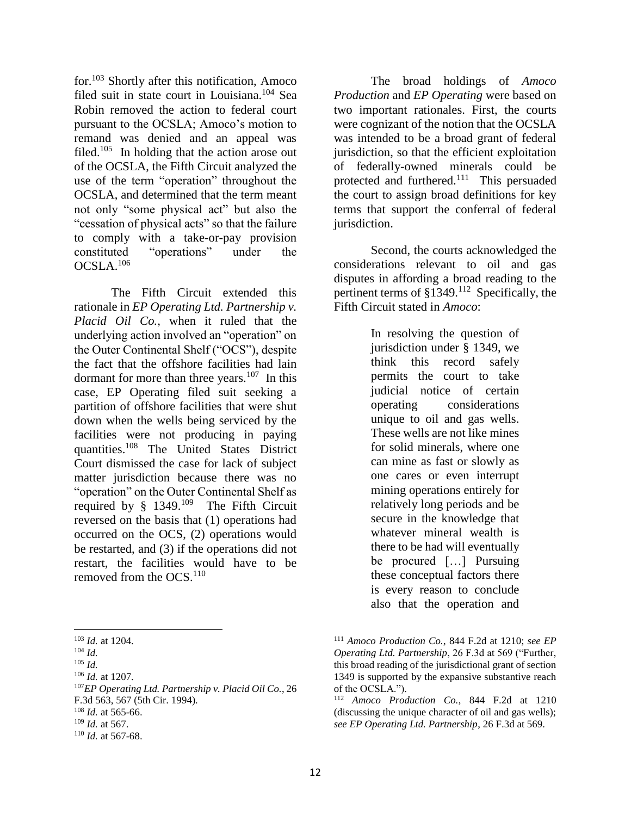for.<sup>103</sup> Shortly after this notification, Amoco filed suit in state court in Louisiana.<sup>104</sup> Sea Robin removed the action to federal court pursuant to the OCSLA; Amoco's motion to remand was denied and an appeal was filed.<sup>105</sup> In holding that the action arose out of the OCSLA, the Fifth Circuit analyzed the use of the term "operation" throughout the OCSLA, and determined that the term meant not only "some physical act" but also the "cessation of physical acts" so that the failure to comply with a take-or-pay provision constituted "operations" under the OCSLA.<sup>106</sup>

The Fifth Circuit extended this rationale in *EP Operating Ltd. Partnership v. Placid Oil Co.,* when it ruled that the underlying action involved an "operation" on the Outer Continental Shelf ("OCS"), despite the fact that the offshore facilities had lain dormant for more than three years.<sup>107</sup> In this case, EP Operating filed suit seeking a partition of offshore facilities that were shut down when the wells being serviced by the facilities were not producing in paying quantities.<sup>108</sup> The United States District Court dismissed the case for lack of subject matter jurisdiction because there was no "operation" on the Outer Continental Shelf as required by  $§$  1349.<sup>109</sup> The Fifth Circuit reversed on the basis that (1) operations had occurred on the OCS, (2) operations would be restarted, and (3) if the operations did not restart, the facilities would have to be removed from the  $OCS$ .<sup>110</sup>

*EP Operating Ltd. Partnership v. Placid Oil Co.*, 26 F.3d 563, 567 (5th Cir. 1994). *Id.* at 565-66. *Id.* at 567. *Id.* at 567-68.

The broad holdings of *Amoco Production* and *EP Operating* were based on two important rationales. First, the courts were cognizant of the notion that the OCSLA was intended to be a broad grant of federal jurisdiction, so that the efficient exploitation of federally-owned minerals could be protected and furthered.<sup>111</sup> This persuaded the court to assign broad definitions for key terms that support the conferral of federal jurisdiction.

Second, the courts acknowledged the considerations relevant to oil and gas disputes in affording a broad reading to the pertinent terms of  $§1349$ .<sup>112</sup> Specifically, the Fifth Circuit stated in *Amoco*:

> In resolving the question of jurisdiction under § 1349, we think this record safely permits the court to take judicial notice of certain operating considerations unique to oil and gas wells. These wells are not like mines for solid minerals, where one can mine as fast or slowly as one cares or even interrupt mining operations entirely for relatively long periods and be secure in the knowledge that whatever mineral wealth is there to be had will eventually be procured […] Pursuing these conceptual factors there is every reason to conclude also that the operation and

 $\overline{\phantom{a}}$ <sup>103</sup> *Id.* at 1204.

<sup>104</sup> *Id.* 

<sup>105</sup> *Id.*

<sup>106</sup> *Id.* at 1207.

<sup>111</sup> *Amoco Production Co.*, 844 F.2d at 1210; *see EP Operating Ltd. Partnership*, 26 F.3d at 569 ("Further, this broad reading of the jurisdictional grant of section 1349 is supported by the expansive substantive reach of the OCSLA.").

<sup>112</sup> *Amoco Production Co.*, 844 F.2d at 1210 (discussing the unique character of oil and gas wells); *see EP Operating Ltd. Partnership*, 26 F.3d at 569.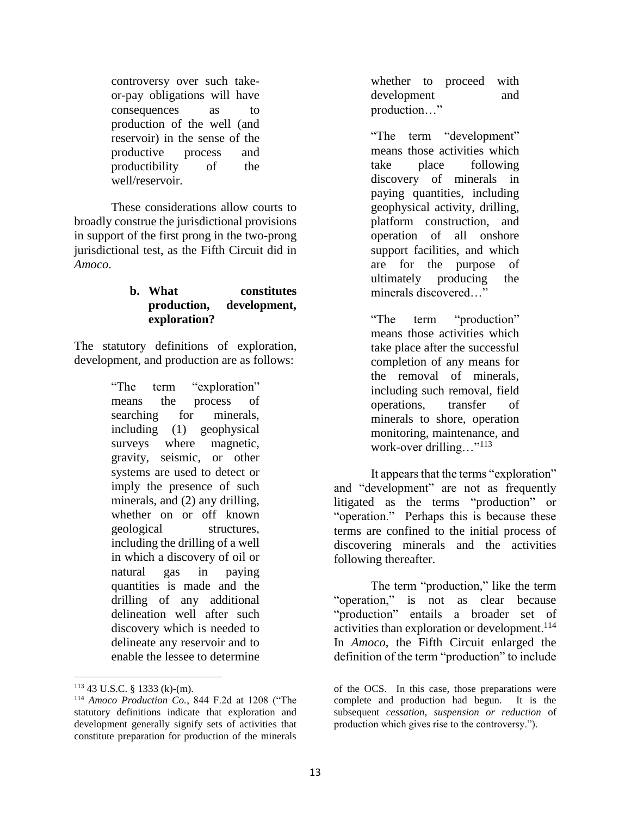controversy over such takeor-pay obligations will have consequences as to production of the well (and reservoir) in the sense of the productive process and productibility of the well/reservoir.

These considerations allow courts to broadly construe the jurisdictional provisions in support of the first prong in the two-prong jurisdictional test, as the Fifth Circuit did in *Amoco*.

# **b. What constitutes production, development, exploration?**

The statutory definitions of exploration, development, and production are as follows:

> "The term "exploration" means the process of searching for minerals, including (1) geophysical surveys where magnetic, gravity, seismic, or other systems are used to detect or imply the presence of such minerals, and (2) any drilling, whether on or off known geological structures, including the drilling of a well in which a discovery of oil or natural gas in paying quantities is made and the drilling of any additional delineation well after such discovery which is needed to delineate any reservoir and to enable the lessee to determine

whether to proceed with development and production…"

"The term "development" means those activities which take place following discovery of minerals in paying quantities, including geophysical activity, drilling, platform construction, and operation of all onshore support facilities, and which are for the purpose of ultimately producing the minerals discovered…"

"The term "production" means those activities which take place after the successful completion of any means for the removal of minerals, including such removal, field operations, transfer of minerals to shore, operation monitoring, maintenance, and work-over drilling..."<sup>113</sup>

It appears that the terms "exploration" and "development" are not as frequently litigated as the terms "production" or "operation." Perhaps this is because these terms are confined to the initial process of discovering minerals and the activities following thereafter.

The term "production," like the term "operation," is not as clear because "production" entails a broader set of activities than exploration or development. 114 In *Amoco*, the Fifth Circuit enlarged the definition of the term "production" to include

 $\overline{a}$  $113$  43 U.S.C. § 1333 (k)-(m).

<sup>114</sup> *Amoco Production Co.*, 844 F.2d at 1208 ("The statutory definitions indicate that exploration and development generally signify sets of activities that constitute preparation for production of the minerals

of the OCS. In this case, those preparations were complete and production had begun. It is the subsequent *cessation, suspension or reduction* of production which gives rise to the controversy.").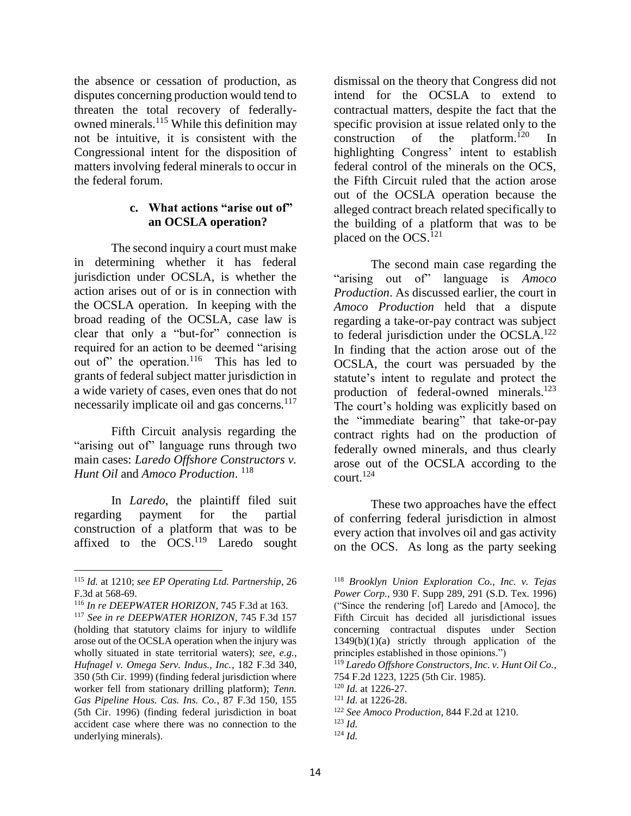the absence or cessation of production, as disputes concerning production would tend to threaten the total recovery of federallyowned minerals.<sup>115</sup> While this definition may not be intuitive, it is consistent with the Congressional intent for the disposition of matters involving federal minerals to occur in the federal forum.

## **c. What actions "arise out of" an OCSLA operation?**

The second inquiry a court must make in determining whether it has federal jurisdiction under OCSLA, is whether the action arises out of or is in connection with the OCSLA operation. In keeping with the broad reading of the OCSLA, case law is clear that only a "but-for" connection is required for an action to be deemed "arising out of" the operation.<sup>116</sup> This has led to grants of federal subject matter jurisdiction in a wide variety of cases, even ones that do not necessarily implicate oil and gas concerns.<sup>117</sup>

Fifth Circuit analysis regarding the "arising out of" language runs through two main cases: *Laredo Offshore Constructors v. Hunt Oil* and *Amoco Production*. 118

In *Laredo*, the plaintiff filed suit regarding payment for the partial construction of a platform that was to be affixed to the  $OCS.<sup>119</sup>$  Laredo sought dismissal on the theory that Congress did not intend for the OCSLA to extend to contractual matters, despite the fact that the specific provision at issue related only to the construction of the platform.<sup>120</sup> In highlighting Congress' intent to establish federal control of the minerals on the OCS, the Fifth Circuit ruled that the action arose out of the OCSLA operation because the alleged contract breach related specifically to the building of a platform that was to be placed on the OCS.<sup>121</sup>

The second main case regarding the "arising out of" language is *Amoco Production*. As discussed earlier, the court in *Amoco Production* held that a dispute regarding a take-or-pay contract was subject to federal jurisdiction under the OCSLA.<sup>122</sup> In finding that the action arose out of the OCSLA, the court was persuaded by the statute's intent to regulate and protect the production of federal-owned minerals.<sup>123</sup> The court's holding was explicitly based on the "immediate bearing" that take-or-pay contract rights had on the production of federally owned minerals, and thus clearly arose out of the OCSLA according to the court. 124

These two approaches have the effect of conferring federal jurisdiction in almost every action that involves oil and gas activity on the OCS. As long as the party seeking

<sup>119</sup> *Laredo Offshore Constructors, Inc. v. Hunt Oil Co.*, 754 F.2d 1223, 1225 (5th Cir. 1985).

 $\overline{a}$ <sup>115</sup> *Id.* at 1210; *see EP Operating Ltd. Partnership*, 26 F.3d at 568-69.

<sup>116</sup> *In re DEEPWATER HORIZON*, 745 F.3d at 163.

<sup>117</sup> *See in re DEEPWATER HORIZON*, 745 F.3d 157 (holding that statutory claims for injury to wildlife arose out of the OCSLA operation when the injury was wholly situated in state territorial waters); *see, e.g.*, *Hufnagel v. Omega Serv. Indus., Inc.*, 182 F.3d 340, 350 (5th Cir. 1999) (finding federal jurisdiction where worker fell from stationary drilling platform); *Tenn. Gas Pipeline Hous. Cas. Ins. Co.*, 87 F.3d 150, 155 (5th Cir. 1996) (finding federal jurisdiction in boat accident case where there was no connection to the underlying minerals).

<sup>118</sup> *Brooklyn Union Exploration Co., Inc. v. Tejas Power Corp.*, 930 F. Supp 289, 291 (S.D. Tex. 1996) ("Since the rendering [of] Laredo and [Amoco], the Fifth Circuit has decided all jurisdictional issues concerning contractual disputes under Section  $1349(b)(1)(a)$  strictly through application of the principles established in those opinions.")

<sup>120</sup> *Id.* at 1226-27.

<sup>121</sup> *Id.* at 1226-28.

<sup>122</sup> *See Amoco Production*, 844 F.2d at 1210.

<sup>123</sup> *Id.*  $124$  *Id.*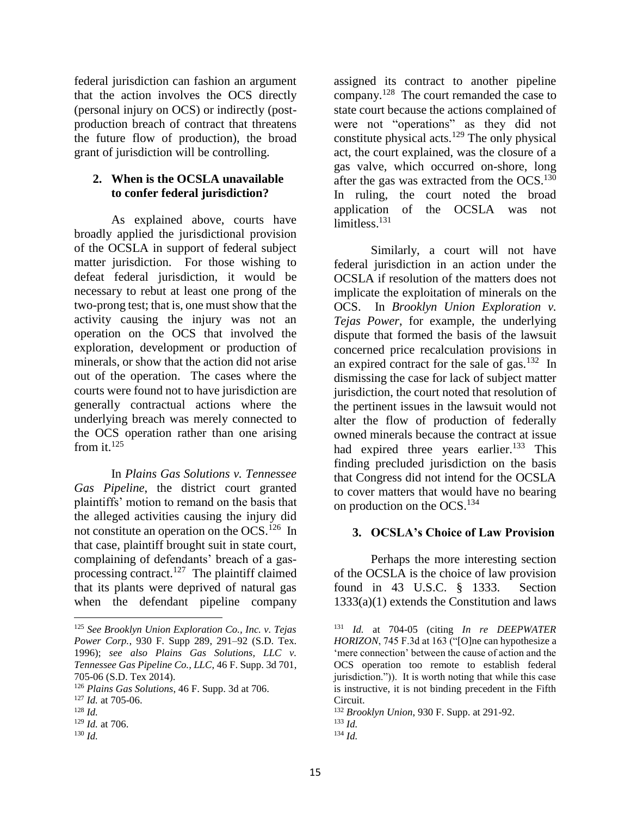federal jurisdiction can fashion an argument that the action involves the OCS directly (personal injury on OCS) or indirectly (postproduction breach of contract that threatens the future flow of production), the broad grant of jurisdiction will be controlling.

# **2. When is the OCSLA unavailable to confer federal jurisdiction?**

As explained above, courts have broadly applied the jurisdictional provision of the OCSLA in support of federal subject matter jurisdiction. For those wishing to defeat federal jurisdiction, it would be necessary to rebut at least one prong of the two-prong test; that is, one must show that the activity causing the injury was not an operation on the OCS that involved the exploration, development or production of minerals, or show that the action did not arise out of the operation. The cases where the courts were found not to have jurisdiction are generally contractual actions where the underlying breach was merely connected to the OCS operation rather than one arising from it. 125

In *Plains Gas Solutions v. Tennessee Gas Pipeline*, the district court granted plaintiffs' motion to remand on the basis that the alleged activities causing the injury did not constitute an operation on the OCS.<sup>126</sup> In that case, plaintiff brought suit in state court, complaining of defendants' breach of a gasprocessing contract.<sup>127</sup> The plaintiff claimed that its plants were deprived of natural gas when the defendant pipeline company

assigned its contract to another pipeline company.<sup>128</sup> The court remanded the case to state court because the actions complained of were not "operations" as they did not constitute physical acts. $129$  The only physical act, the court explained, was the closure of a gas valve, which occurred on-shore, long after the gas was extracted from the  $OCS$ .<sup>130</sup> In ruling, the court noted the broad application of the OCSLA was not limitless. 131

Similarly, a court will not have federal jurisdiction in an action under the OCSLA if resolution of the matters does not implicate the exploitation of minerals on the OCS. In *Brooklyn Union Exploration v. Tejas Power*, for example, the underlying dispute that formed the basis of the lawsuit concerned price recalculation provisions in an expired contract for the sale of gas. $132 \text{ In}$ dismissing the case for lack of subject matter jurisdiction, the court noted that resolution of the pertinent issues in the lawsuit would not alter the flow of production of federally owned minerals because the contract at issue had expired three years earlier.<sup>133</sup> This finding precluded jurisdiction on the basis that Congress did not intend for the OCSLA to cover matters that would have no bearing on production on the OCS.<sup>134</sup>

# **3. OCSLA's Choice of Law Provision**

Perhaps the more interesting section of the OCSLA is the choice of law provision found in 43 U.S.C. § 1333. Section 1333(a)(1) extends the Constitution and laws

 $\overline{\phantom{a}}$ <sup>125</sup> *See Brooklyn Union Exploration Co., Inc. v. Tejas Power Corp.*, 930 F. Supp 289, 291–92 (S.D. Tex. 1996); *see also Plains Gas Solutions, LLC v. Tennessee Gas Pipeline Co., LLC*, 46 F. Supp. 3d 701, 705-06 (S.D. Tex 2014).

<sup>126</sup> *Plains Gas Solutions*, 46 F. Supp. 3d at 706.

<sup>127</sup> *Id.* at 705-06.

<sup>128</sup> *Id.* 

<sup>129</sup> *Id.* at 706.

<sup>130</sup> *Id.* 

<sup>131</sup> *Id.* at 704-05 (citing *In re DEEPWATER HORIZON*, 745 F.3d at 163 ("[O]ne can hypothesize a 'mere connection' between the cause of action and the OCS operation too remote to establish federal jurisdiction.")). It is worth noting that while this case is instructive, it is not binding precedent in the Fifth Circuit.

<sup>132</sup> *Brooklyn Union*, 930 F. Supp. at 291-92. <sup>133</sup> *Id.*

<sup>134</sup> *Id.*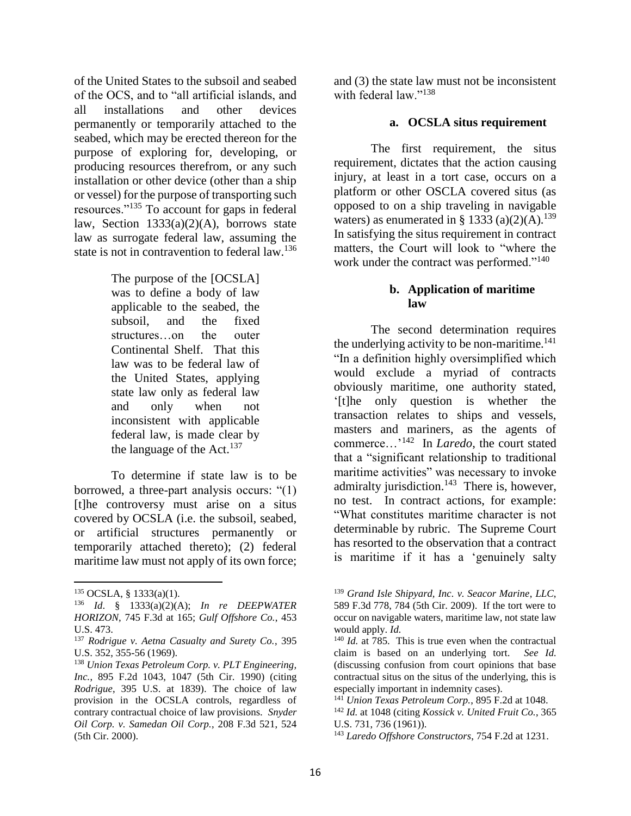of the United States to the subsoil and seabed of the OCS, and to "all artificial islands, and all installations and other devices permanently or temporarily attached to the seabed, which may be erected thereon for the purpose of exploring for, developing, or producing resources therefrom, or any such installation or other device (other than a ship or vessel) for the purpose of transporting such resources."<sup>135</sup> To account for gaps in federal law, Section  $1333(a)(2)(A)$ , borrows state law as surrogate federal law, assuming the state is not in contravention to federal law.<sup>136</sup>

> The purpose of the [OCSLA] was to define a body of law applicable to the seabed, the subsoil, and the fixed structures…on the outer Continental Shelf. That this law was to be federal law of the United States, applying state law only as federal law and only when not inconsistent with applicable federal law, is made clear by the language of the Act. $137$

To determine if state law is to be borrowed, a three-part analysis occurs: "(1) [t]he controversy must arise on a situs covered by OCSLA (i.e. the subsoil, seabed, or artificial structures permanently or temporarily attached thereto); (2) federal maritime law must not apply of its own force; and (3) the state law must not be inconsistent with federal law<sup>"138</sup>

### **a. OCSLA situs requirement**

The first requirement, the situs requirement, dictates that the action causing injury, at least in a tort case, occurs on a platform or other OSCLA covered situs (as opposed to on a ship traveling in navigable waters) as enumerated in § 1333 (a)(2)(A).<sup>139</sup> In satisfying the situs requirement in contract matters, the Court will look to "where the work under the contract was performed."<sup>140</sup>

## **b. Application of maritime law**

The second determination requires the underlying activity to be non-maritime.<sup>141</sup> "In a definition highly oversimplified which would exclude a myriad of contracts obviously maritime, one authority stated, '[t]he only question is whether the transaction relates to ships and vessels, masters and mariners, as the agents of commerce…'<sup>142</sup> In *Laredo*, the court stated that a "significant relationship to traditional maritime activities" was necessary to invoke admiralty jurisdiction.<sup>143</sup> There is, however, no test. In contract actions, for example: "What constitutes maritime character is not determinable by rubric. The Supreme Court has resorted to the observation that a contract is maritime if it has a 'genuinely salty

 $\overline{\phantom{a}}$ <sup>135</sup> OCSLA, § 1333(a)(1).

<sup>136</sup> *Id*. § 1333(a)(2)(A); *In re DEEPWATER HORIZON*, 745 F.3d at 165; *Gulf Offshore Co.*, 453 U.S. 473.

<sup>137</sup> *Rodrigue v. Aetna Casualty and Surety Co.*, 395 U.S. 352, 355-56 (1969).

<sup>138</sup> *Union Texas Petroleum Corp. v. PLT Engineering, Inc.*, 895 F.2d 1043, 1047 (5th Cir. 1990) (citing *Rodrigue*, 395 U.S. at 1839). The choice of law provision in the OCSLA controls, regardless of contrary contractual choice of law provisions. *Snyder Oil Corp. v. Samedan Oil Corp.*, 208 F.3d 521, 524 (5th Cir. 2000).

<sup>139</sup> *Grand Isle Shipyard, Inc. v. Seacor Marine*, *LLC*, 589 F.3d 778, 784 (5th Cir. 2009). If the tort were to occur on navigable waters, maritime law, not state law would apply. *Id.* 

<sup>&</sup>lt;sup>140</sup> *Id.* at 785. This is true even when the contractual claim is based on an underlying tort. *See Id.* (discussing confusion from court opinions that base contractual situs on the situs of the underlying, this is especially important in indemnity cases).

<sup>141</sup> *Union Texas Petroleum Corp.*, 895 F.2d at 1048.

<sup>142</sup> *Id.* at 1048 (citing *Kossick v. United Fruit Co.*, 365 U.S. 731, 736 (1961)).

<sup>143</sup> *Laredo Offshore Constructors*, 754 F.2d at 1231.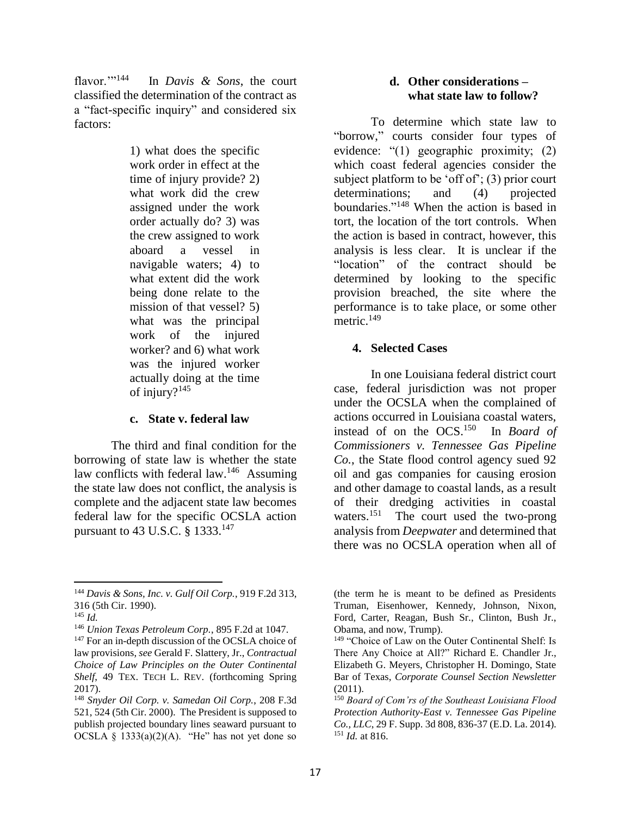flavor." $144$  In *Davis & Sons*, the court classified the determination of the contract as a "fact-specific inquiry" and considered six factors:

> 1) what does the specific work order in effect at the time of injury provide? 2) what work did the crew assigned under the work order actually do? 3) was the crew assigned to work aboard a vessel in navigable waters; 4) to what extent did the work being done relate to the mission of that vessel? 5) what was the principal work of the injured worker? and 6) what work was the injured worker actually doing at the time of injury? $145$

#### **c. State v. federal law**

The third and final condition for the borrowing of state law is whether the state law conflicts with federal law.<sup>146</sup> Assuming the state law does not conflict, the analysis is complete and the adjacent state law becomes federal law for the specific OCSLA action pursuant to 43 U.S.C. § 1333.<sup>147</sup>

 $\overline{\phantom{a}}$ 

## **d. Other considerations – what state law to follow?**

To determine which state law to "borrow," courts consider four types of evidence: "(1) geographic proximity; (2) which coast federal agencies consider the subject platform to be 'off of';  $(3)$  prior court determinations; and (4) projected boundaries."<sup>148</sup> When the action is based in tort, the location of the tort controls. When the action is based in contract, however, this analysis is less clear. It is unclear if the "location" of the contract should be determined by looking to the specific provision breached, the site where the performance is to take place, or some other metric. 149

## **4. Selected Cases**

In one Louisiana federal district court case, federal jurisdiction was not proper under the OCSLA when the complained of actions occurred in Louisiana coastal waters, instead of on the OCS.<sup>150</sup> In *Board of Commissioners v. Tennessee Gas Pipeline Co.*, the State flood control agency sued 92 oil and gas companies for causing erosion and other damage to coastal lands, as a result of their dredging activities in coastal waters.<sup>151</sup> The court used the two-prong analysis from *Deepwater* and determined that there was no OCSLA operation when all of

<sup>144</sup> *Davis & Sons, Inc. v. Gulf Oil Corp.*, 919 F.2d 313, 316 (5th Cir. 1990).

 $^{145}$  *Id.* 

<sup>146</sup> *Union Texas Petroleum Corp.*, 895 F.2d at 1047.

<sup>&</sup>lt;sup>147</sup> For an in-depth discussion of the OCSLA choice of law provisions, *see* Gerald F. Slattery, Jr., *Contractual Choice of Law Principles on the Outer Continental Shelf*, 49 TEX. TECH L. REV. (forthcoming Spring 2017).

<sup>148</sup> *Snyder Oil Corp. v. Samedan Oil Corp.*, 208 F.3d 521, 524 (5th Cir. 2000). The President is supposed to publish projected boundary lines seaward pursuant to OCSLA §  $1333(a)(2)(A)$ . "He" has not yet done so

<sup>(</sup>the term he is meant to be defined as Presidents Truman, Eisenhower, Kennedy, Johnson, Nixon, Ford, Carter, Reagan, Bush Sr., Clinton, Bush Jr., Obama, and now, Trump).

<sup>&</sup>lt;sup>149</sup> "Choice of Law on the Outer Continental Shelf: Is There Any Choice at All?" Richard E. Chandler Jr., Elizabeth G. Meyers, Christopher H. Domingo, State Bar of Texas, *Corporate Counsel Section Newsletter*   $(2011).$ 

<sup>150</sup> *Board of Com'rs of the Southeast Louisiana Flood Protection Authority-East v. Tennessee Gas Pipeline Co., LLC*, 29 F. Supp. 3d 808, 836-37 (E.D. La. 2014). <sup>151</sup> *Id.* at 816.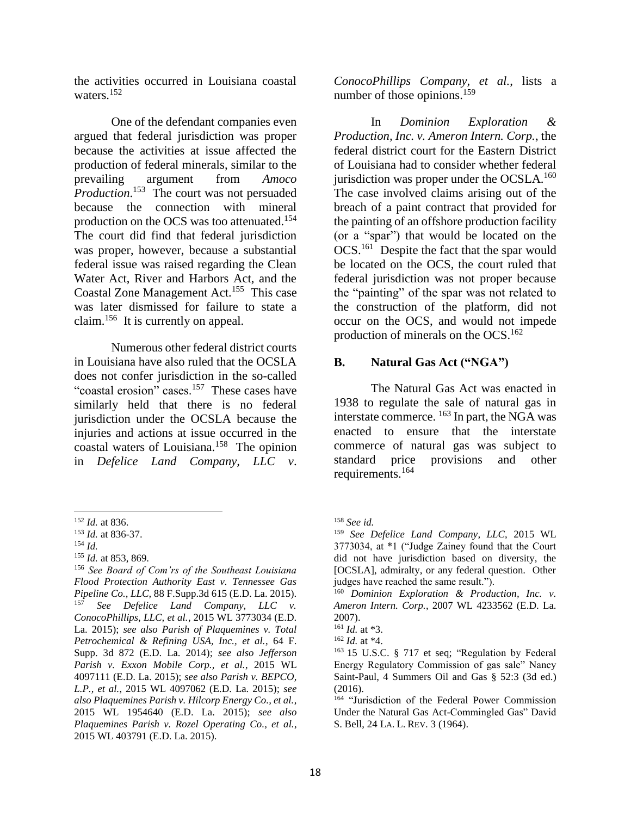the activities occurred in Louisiana coastal waters.<sup>152</sup>

One of the defendant companies even argued that federal jurisdiction was proper because the activities at issue affected the production of federal minerals, similar to the prevailing argument from *Amoco Production*. 153 The court was not persuaded because the connection with mineral production on the OCS was too attenuated.<sup>154</sup> The court did find that federal jurisdiction was proper, however, because a substantial federal issue was raised regarding the Clean Water Act, River and Harbors Act, and the Coastal Zone Management Act.<sup>155</sup> This case was later dismissed for failure to state a claim.<sup>156</sup> It is currently on appeal.

Numerous other federal district courts in Louisiana have also ruled that the OCSLA does not confer jurisdiction in the so-called "coastal erosion" cases.<sup>157</sup> These cases have similarly held that there is no federal jurisdiction under the OCSLA because the injuries and actions at issue occurred in the coastal waters of Louisiana.<sup>158</sup> The opinion in *Defelice Land Company, LLC v*.

*ConocoPhillips Company, et al.*, lists a number of those opinions.<sup>159</sup>

In *Dominion Exploration & Production, Inc. v. Ameron Intern. Corp.*, the federal district court for the Eastern District of Louisiana had to consider whether federal jurisdiction was proper under the OCSLA.<sup>160</sup> The case involved claims arising out of the breach of a paint contract that provided for the painting of an offshore production facility (or a "spar") that would be located on the OCS.<sup>161</sup> Despite the fact that the spar would be located on the OCS, the court ruled that federal jurisdiction was not proper because the "painting" of the spar was not related to the construction of the platform, did not occur on the OCS, and would not impede production of minerals on the  $OCS$ .<sup>162</sup>

# **B. Natural Gas Act ("NGA")**

The Natural Gas Act was enacted in 1938 to regulate the sale of natural gas in interstate commerce.  $^{163}$  In part, the NGA was enacted to ensure that the interstate commerce of natural gas was subject to standard price provisions and other requirements.<sup>164</sup>

 $\overline{\phantom{a}}$ <sup>152</sup> *Id.* at 836.

<sup>153</sup> *Id.* at 836-37.

<sup>154</sup> *Id.* 

<sup>155</sup> *Id.* at 853, 869.

<sup>156</sup> *See Board of Com'rs of the Southeast Louisiana Flood Protection Authority East v. Tennessee Gas Pipeline Co., LLC,* 88 F.Supp.3d 615 (E.D. La. 2015). See Defelice Land Company, LLC v. *ConocoPhillips, LLC, et al.*, 2015 WL 3773034 (E.D. La. 2015); *see also Parish of Plaquemines v. Total Petrochemical & Refining USA, Inc., et al.*, 64 F. Supp. 3d 872 (E.D. La. 2014); *see also Jefferson Parish v. Exxon Mobile Corp., et al.*, 2015 WL 4097111 (E.D. La. 2015); *see also Parish v. BEPCO, L.P., et al.*, 2015 WL 4097062 (E.D. La. 2015); *see also Plaquemines Parish v. Hilcorp Energy Co., et al.*, 2015 WL 1954640 (E.D. La. 2015); *see also Plaquemines Parish v. Rozel Operating Co., et al.*, 2015 WL 403791 (E.D. La. 2015).

<sup>158</sup> *See id.*

<sup>159</sup> *See Defelice Land Company, LLC*, 2015 WL 3773034, at \*1 ("Judge Zainey found that the Court did not have jurisdiction based on diversity, the [OCSLA], admiralty, or any federal question. Other judges have reached the same result.").

<sup>160</sup> *Dominion Exploration & Production, Inc. v. Ameron Intern. Corp.*, 2007 WL 4233562 (E.D. La. 2007).

<sup>161</sup> *Id.* at \*3.

<sup>162</sup> *Id.* at \*4.

<sup>163</sup> 15 U.S.C. § 717 et seq; "Regulation by Federal Energy Regulatory Commission of gas sale" Nancy Saint-Paul, 4 Summers Oil and Gas § 52:3 (3d ed.) (2016).

<sup>&</sup>lt;sup>164</sup> "Jurisdiction of the Federal Power Commission Under the Natural Gas Act-Commingled Gas" David S. Bell, 24 LA. L. REV. 3 (1964).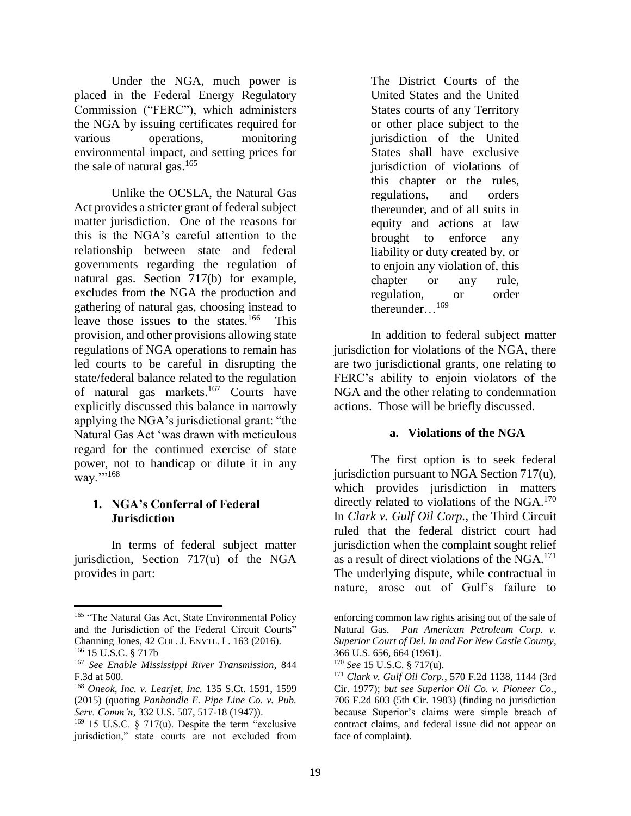Under the NGA, much power is placed in the Federal Energy Regulatory Commission ("FERC"), which administers the NGA by issuing certificates required for various operations, monitoring environmental impact, and setting prices for the sale of natural gas. $165$ 

Unlike the OCSLA, the Natural Gas Act provides a stricter grant of federal subject matter jurisdiction. One of the reasons for this is the NGA's careful attention to the relationship between state and federal governments regarding the regulation of natural gas. Section 717(b) for example, excludes from the NGA the production and gathering of natural gas, choosing instead to leave those issues to the states.<sup>166</sup> This provision, and other provisions allowing state regulations of NGA operations to remain has led courts to be careful in disrupting the state/federal balance related to the regulation of natural gas markets.<sup>167</sup> Courts have explicitly discussed this balance in narrowly applying the NGA's jurisdictional grant: "the Natural Gas Act 'was drawn with meticulous regard for the continued exercise of state power, not to handicap or dilute it in any way.'''<sup>168</sup>

## **1. NGA's Conferral of Federal Jurisdiction**

In terms of federal subject matter jurisdiction, Section 717(u) of the NGA provides in part:

 $\overline{a}$ 

The District Courts of the United States and the United States courts of any Territory or other place subject to the jurisdiction of the United States shall have exclusive jurisdiction of violations of this chapter or the rules, regulations, and orders thereunder, and of all suits in equity and actions at law brought to enforce any liability or duty created by, or to enjoin any violation of, this chapter or any rule, regulation, or order thereunder…<sup>169</sup>

In addition to federal subject matter jurisdiction for violations of the NGA, there are two jurisdictional grants, one relating to FERC's ability to enjoin violators of the NGA and the other relating to condemnation actions. Those will be briefly discussed.

## **a. Violations of the NGA**

The first option is to seek federal jurisdiction pursuant to NGA Section 717(u), which provides jurisdiction in matters directly related to violations of the NGA. $170$ In *Clark v. Gulf Oil Corp.*, the Third Circuit ruled that the federal district court had jurisdiction when the complaint sought relief as a result of direct violations of the NGA.<sup>171</sup> The underlying dispute, while contractual in nature, arose out of Gulf's failure to

<sup>&</sup>lt;sup>165</sup> "The Natural Gas Act, State Environmental Policy and the Jurisdiction of the Federal Circuit Courts" Channing Jones, 42 COL. J. ENVTL. L. 163 (2016). <sup>166</sup> 15 U.S.C. § 717b

<sup>167</sup> *See Enable Mississippi River Transmission*, 844 F.3d at 500.

<sup>168</sup> *Oneok, Inc. v. Learjet, Inc.* 135 S.Ct. 1591, 1599 (2015) (quoting *Panhandle E. Pipe Line Co. v. Pub. Serv. Comm'n*, 332 U.S. 507, 517-18 (1947)).

 $169$  15 U.S.C. § 717(u). Despite the term "exclusive jurisdiction," state courts are not excluded from

enforcing common law rights arising out of the sale of Natural Gas. *Pan American Petroleum Corp. v. Superior Court of Del. In and For New Castle County*, 366 U.S. 656, 664 (1961).

<sup>170</sup> *See* 15 U.S.C. § 717(u).

<sup>171</sup> *Clark v. Gulf Oil Corp.*, 570 F.2d 1138, 1144 (3rd Cir. 1977); *but see Superior Oil Co. v. Pioneer Co.*, 706 F.2d 603 (5th Cir. 1983) (finding no jurisdiction because Superior's claims were simple breach of contract claims, and federal issue did not appear on face of complaint).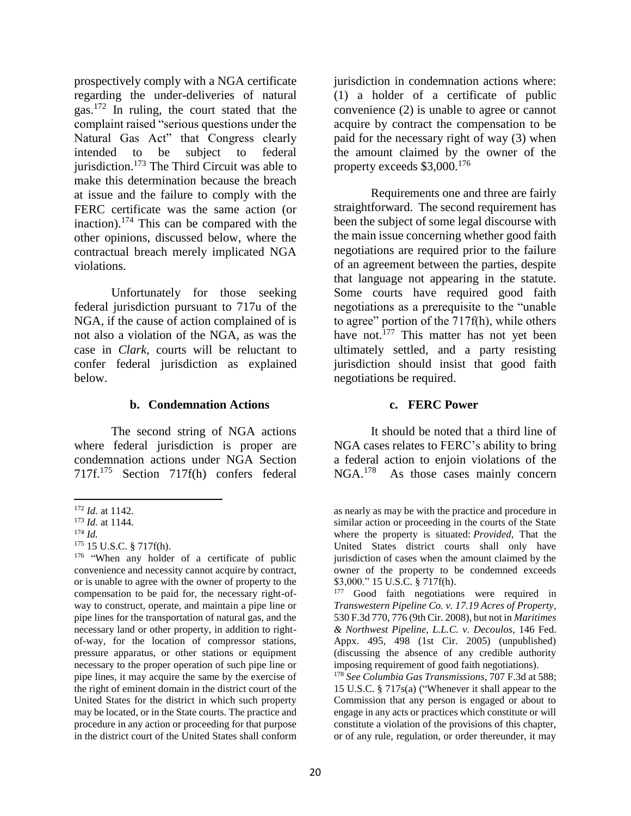prospectively comply with a NGA certificate regarding the under-deliveries of natural gas.<sup>172</sup> In ruling, the court stated that the complaint raised "serious questions under the Natural Gas Act" that Congress clearly intended to be subject to federal jurisdiction.<sup>173</sup> The Third Circuit was able to make this determination because the breach at issue and the failure to comply with the FERC certificate was the same action (or inaction).<sup>174</sup> This can be compared with the other opinions, discussed below, where the contractual breach merely implicated NGA violations.

Unfortunately for those seeking federal jurisdiction pursuant to 717u of the NGA, if the cause of action complained of is not also a violation of the NGA, as was the case in *Clark*, courts will be reluctant to confer federal jurisdiction as explained below.

## **b. Condemnation Actions**

The second string of NGA actions where federal jurisdiction is proper are condemnation actions under NGA Section 717f.<sup>175</sup> Section 717f(h) confers federal jurisdiction in condemnation actions where: (1) a holder of a certificate of public convenience (2) is unable to agree or cannot acquire by contract the compensation to be paid for the necessary right of way (3) when the amount claimed by the owner of the property exceeds  $$3,000$ <sup>176</sup>

Requirements one and three are fairly straightforward. The second requirement has been the subject of some legal discourse with the main issue concerning whether good faith negotiations are required prior to the failure of an agreement between the parties, despite that language not appearing in the statute. Some courts have required good faith negotiations as a prerequisite to the "unable to agree" portion of the 717f(h), while others have not.<sup>177</sup> This matter has not yet been ultimately settled, and a party resisting jurisdiction should insist that good faith negotiations be required.

### **c. FERC Power**

It should be noted that a third line of NGA cases relates to FERC's ability to bring a federal action to enjoin violations of the NGA.<sup>178</sup> As those cases mainly concern

<sup>177</sup> Good faith negotiations were required in *Transwestern Pipeline Co. v. 17.19 Acres of Property*, 530 F.3d 770, 776 (9th Cir. 2008), but not in *Maritimes & Northwest Pipeline, L.L.C. v. Decoulos*, 146 Fed. Appx. 495, 498 (1st Cir. 2005) (unpublished) (discussing the absence of any credible authority imposing requirement of good faith negotiations).

<sup>178</sup> *See Columbia Gas Transmissions*, 707 F.3d at 588; 15 U.S.C. § 717s(a) ("Whenever it shall appear to the Commission that any person is engaged or about to engage in any acts or practices which constitute or will constitute a violation of the provisions of this chapter, or of any rule, regulation, or order thereunder, it may

 $\overline{a}$ <sup>172</sup> *Id.* at 1142.

<sup>173</sup> *Id.* at 1144.

 $174$  *Id.* 

<sup>175</sup> 15 U.S.C. § 717f(h).

<sup>&</sup>lt;sup>176</sup> "When any holder of a certificate of public convenience and necessity cannot acquire by contract, or is unable to agree with the owner of property to the compensation to be paid for, the necessary right-ofway to construct, operate, and maintain a pipe line or pipe lines for the transportation of natural gas, and the necessary land or other property, in addition to rightof-way, for the location of compressor stations, pressure apparatus, or other stations or equipment necessary to the proper operation of such pipe line or pipe lines, it may acquire the same by the exercise of the right of eminent domain in the district court of the United States for the district in which such property may be located, or in the State courts. The practice and procedure in any action or proceeding for that purpose in the district court of the United States shall conform

as nearly as may be with the practice and procedure in similar action or proceeding in the courts of the State where the property is situated: *Provided*, That the United States district courts shall only have jurisdiction of cases when the amount claimed by the owner of the property to be condemned exceeds \$3,000." 15 U.S.C. § 717f(h).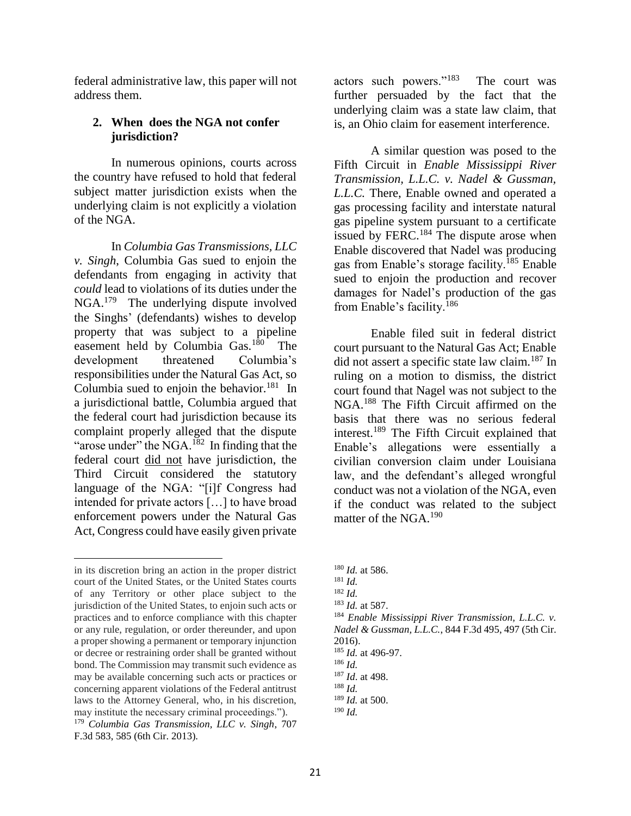federal administrative law, this paper will not address them.

### **2. When does the NGA not confer jurisdiction?**

In numerous opinions, courts across the country have refused to hold that federal subject matter jurisdiction exists when the underlying claim is not explicitly a violation of the NGA.

In *Columbia Gas Transmissions, LLC v. Singh*, Columbia Gas sued to enjoin the defendants from engaging in activity that *could* lead to violations of its duties under the NGA.<sup>179</sup> The underlying dispute involved the Singhs' (defendants) wishes to develop property that was subject to a pipeline easement held by Columbia Gas.<sup>180</sup> The development threatened Columbia's responsibilities under the Natural Gas Act, so Columbia sued to enjoin the behavior.<sup>181</sup> In a jurisdictional battle, Columbia argued that the federal court had jurisdiction because its complaint properly alleged that the dispute "arose under" the NGA.<sup>182</sup> In finding that the federal court did not have jurisdiction, the Third Circuit considered the statutory language of the NGA: "[i]f Congress had intended for private actors […] to have broad enforcement powers under the Natural Gas Act, Congress could have easily given private

l

actors such powers."<sup>183</sup> The court was further persuaded by the fact that the underlying claim was a state law claim, that is, an Ohio claim for easement interference.

A similar question was posed to the Fifth Circuit in *Enable Mississippi River Transmission, L.L.C. v. Nadel & Gussman, L.L.C.* There, Enable owned and operated a gas processing facility and interstate natural gas pipeline system pursuant to a certificate issued by FERC.<sup>184</sup> The dispute arose when Enable discovered that Nadel was producing gas from Enable's storage facility.<sup>185</sup> Enable sued to enjoin the production and recover damages for Nadel's production of the gas from Enable's facility.<sup>186</sup>

Enable filed suit in federal district court pursuant to the Natural Gas Act; Enable did not assert a specific state law claim.<sup>187</sup> In ruling on a motion to dismiss, the district court found that Nagel was not subject to the NGA.<sup>188</sup> The Fifth Circuit affirmed on the basis that there was no serious federal interest.<sup>189</sup> The Fifth Circuit explained that Enable's allegations were essentially a civilian conversion claim under Louisiana law, and the defendant's alleged wrongful conduct was not a violation of the NGA, even if the conduct was related to the subject matter of the NGA.<sup>190</sup>

<sup>184</sup> *Enable Mississippi River Transmission, L.L.C. v. Nadel & Gussman, L.L.C.*, 844 F.3d 495, 497 (5th Cir. 2016).

in its discretion bring an action in the proper district court of the United States, or the United States courts of any Territory or other place subject to the jurisdiction of the United States, to enjoin such acts or practices and to enforce compliance with this chapter or any rule, regulation, or order thereunder, and upon a proper showing a permanent or temporary injunction or decree or restraining order shall be granted without bond. The Commission may transmit such evidence as may be available concerning such acts or practices or concerning apparent violations of the Federal antitrust laws to the Attorney General, who, in his discretion, may institute the necessary criminal proceedings."). <sup>179</sup> *Columbia Gas Transmission, LLC v. Singh*, 707 F.3d 583, 585 (6th Cir. 2013).

<sup>180</sup> *Id.* at 586.

 $181$  *Id.* 

<sup>182</sup> *Id.*

<sup>183</sup> *Id.* at 587.

<sup>185</sup> *Id.* at 496-97.

<sup>186</sup> *Id.*

<sup>187</sup> *Id*. at 498.

 $188$  *Id.* 

<sup>189</sup> *Id.* at 500.

 $190$  *Id.*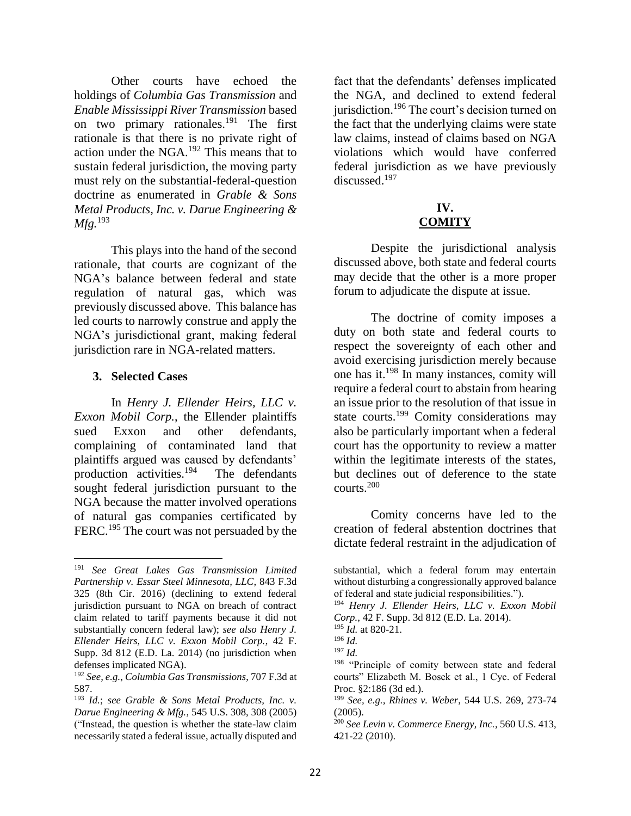Other courts have echoed the holdings of *Columbia Gas Transmission* and *Enable Mississippi River Transmission* based on two primary rationales.<sup>191</sup> The first rationale is that there is no private right of action under the NGA.<sup>192</sup> This means that to sustain federal jurisdiction, the moving party must rely on the substantial-federal-question doctrine as enumerated in *Grable & Sons Metal Products, Inc. v. Darue Engineering & Mfg.*<sup>193</sup>

This plays into the hand of the second rationale, that courts are cognizant of the NGA's balance between federal and state regulation of natural gas, which was previously discussed above. This balance has led courts to narrowly construe and apply the NGA's jurisdictional grant, making federal jurisdiction rare in NGA-related matters.

## **3. Selected Cases**

l

In *Henry J. Ellender Heirs, LLC v. Exxon Mobil Corp.*, the Ellender plaintiffs sued Exxon and other defendants, complaining of contaminated land that plaintiffs argued was caused by defendants' production activities.<sup>194</sup> The defendants sought federal jurisdiction pursuant to the NGA because the matter involved operations of natural gas companies certificated by FERC.<sup>195</sup> The court was not persuaded by the fact that the defendants' defenses implicated the NGA, and declined to extend federal jurisdiction.<sup>196</sup> The court's decision turned on the fact that the underlying claims were state law claims, instead of claims based on NGA violations which would have conferred federal jurisdiction as we have previously discussed.<sup>197</sup>

### **IV. COMITY**

Despite the jurisdictional analysis discussed above, both state and federal courts may decide that the other is a more proper forum to adjudicate the dispute at issue.

The doctrine of comity imposes a duty on both state and federal courts to respect the sovereignty of each other and avoid exercising jurisdiction merely because one has it.<sup>198</sup> In many instances, comity will require a federal court to abstain from hearing an issue prior to the resolution of that issue in state courts.<sup>199</sup> Comity considerations may also be particularly important when a federal court has the opportunity to review a matter within the legitimate interests of the states, but declines out of deference to the state courts.<sup>200</sup>

Comity concerns have led to the creation of federal abstention doctrines that dictate federal restraint in the adjudication of

<sup>191</sup> *See Great Lakes Gas Transmission Limited Partnership v. Essar Steel Minnesota, LLC*, 843 F.3d 325 (8th Cir. 2016) (declining to extend federal jurisdiction pursuant to NGA on breach of contract claim related to tariff payments because it did not substantially concern federal law); *see also Henry J. Ellender Heirs, LLC v. Exxon Mobil Corp.*, 42 F. Supp. 3d 812 (E.D. La. 2014) (no jurisdiction when defenses implicated NGA).

<sup>192</sup> *See, e.g.*, *Columbia Gas Transmissions*, 707 F.3d at 587.

<sup>193</sup> *Id.*; *see Grable & Sons Metal Products, Inc. v. Darue Engineering & Mfg.*, 545 U.S. 308, 308 (2005) ("Instead, the question is whether the state-law claim necessarily stated a federal issue, actually disputed and

substantial, which a federal forum may entertain without disturbing a congressionally approved balance of federal and state judicial responsibilities.").

<sup>194</sup> *Henry J. Ellender Heirs, LLC v. Exxon Mobil Corp.*, 42 F. Supp. 3d 812 (E.D. La. 2014).

<sup>195</sup> *Id.* at 820-21.

<sup>196</sup> *Id.*

<sup>197</sup> *Id.* 

<sup>&</sup>lt;sup>198</sup> "Principle of comity between state and federal courts" Elizabeth M. Bosek et al., 1 Cyc. of Federal Proc. §2:186 (3d ed.).

<sup>199</sup> *See, e.g., Rhines v. Weber*, 544 U.S. 269, 273-74 (2005).

<sup>200</sup> *See Levin v. Commerce Energy, Inc.*, 560 U.S. 413, 421-22 (2010).